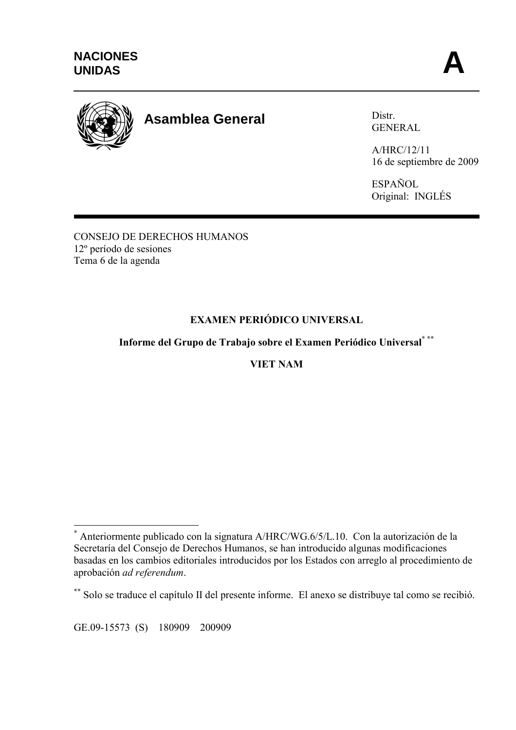

# **Asamblea General**

Distr. GENERAL

A/HRC/12/11 16 de septiembre de 2009

ESPAÑOL Original: INGLÉS

CONSEJO DE DERECHOS HUMANOS 12º período de sesiones Tema 6 de la agenda

## **EXAMEN PERIÓDICO UNIVERSAL**

## **Informe del Grupo de Trabajo sobre el Examen Periódico Universal\* \*\***

### **VIET NAM**

 $\overline{a}$ 

**<sup>\*</sup>** Anteriormente publicado con la signatura A/HRC/WG.6/5/L.10. Con la autorización de la Secretaría del Consejo de Derechos Humanos, se han introducido algunas modificaciones basadas en los cambios editoriales introducidos por los Estados con arreglo al procedimiento de aprobación *ad referendum*.

**<sup>\*\*</sup>** Solo se traduce el capítulo II del presente informe. El anexo se distribuye tal como se recibió.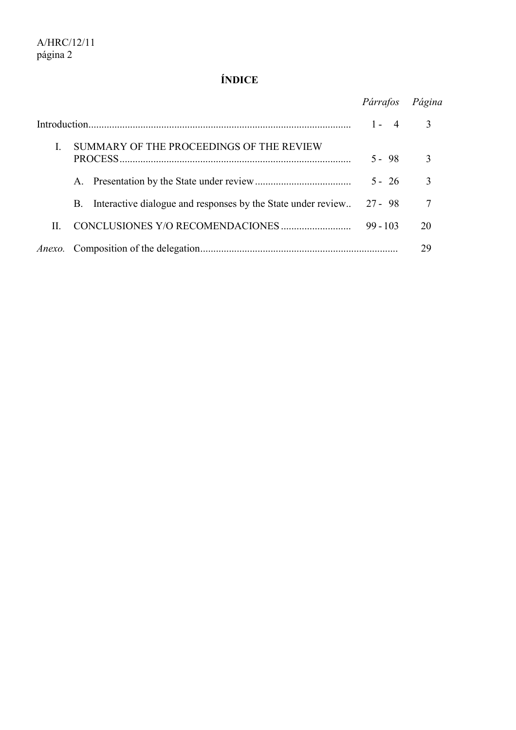## **ÍNDICE**

|    |                                                                            | Párrafos                | Página        |
|----|----------------------------------------------------------------------------|-------------------------|---------------|
|    |                                                                            | $1 -$<br>$\overline{4}$ | $\mathcal{E}$ |
|    | SUMMARY OF THE PROCEEDINGS OF THE REVIEW                                   | $5 - 98$                | $\mathcal{E}$ |
|    |                                                                            | $5 - 26$                | 3             |
|    | Interactive dialogue and responses by the State under review<br><b>B</b> . | $27 - 98$               | 7             |
| H. |                                                                            | $99 - 103$              | 20            |
|    |                                                                            |                         | 29            |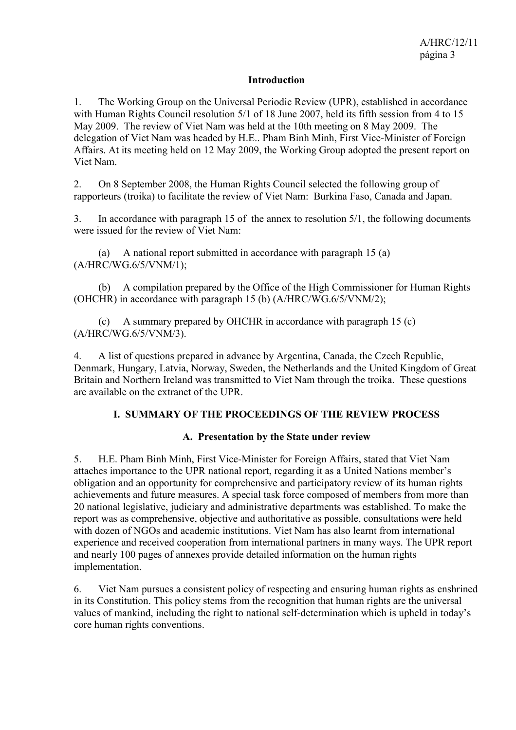#### **Introduction**

1. The Working Group on the Universal Periodic Review (UPR), established in accordance with Human Rights Council resolution 5/1 of 18 June 2007, held its fifth session from 4 to 15 May 2009. The review of Viet Nam was held at the 10th meeting on 8 May 2009. The delegation of Viet Nam was headed by H.E.. Pham Binh Minh, First Vice-Minister of Foreign Affairs. At its meeting held on 12 May 2009, the Working Group adopted the present report on Viet Nam.

2. On 8 September 2008, the Human Rights Council selected the following group of rapporteurs (troika) to facilitate the review of Viet Nam: Burkina Faso, Canada and Japan.

3. In accordance with paragraph 15 of the annex to resolution 5/1, the following documents were issued for the review of Viet Nam:

 (a) A national report submitted in accordance with paragraph 15 (a) (A/HRC/WG.6/5/VNM/1);

 (b) A compilation prepared by the Office of the High Commissioner for Human Rights (OHCHR) in accordance with paragraph 15 (b) (A/HRC/WG.6/5/VNM/2);

 (c) A summary prepared by OHCHR in accordance with paragraph 15 (c) (A/HRC/WG.6/5/VNM/3).

4. A list of questions prepared in advance by Argentina, Canada, the Czech Republic, Denmark, Hungary, Latvia, Norway, Sweden, the Netherlands and the United Kingdom of Great Britain and Northern Ireland was transmitted to Viet Nam through the troika. These questions are available on the extranet of the UPR.

#### **I. SUMMARY OF THE PROCEEDINGS OF THE REVIEW PROCESS**

#### **A. Presentation by the State under review**

5. H.E. Pham Binh Minh, First Vice-Minister for Foreign Affairs, stated that Viet Nam attaches importance to the UPR national report, regarding it as a United Nations member's obligation and an opportunity for comprehensive and participatory review of its human rights achievements and future measures. A special task force composed of members from more than 20 national legislative, judiciary and administrative departments was established. To make the report was as comprehensive, objective and authoritative as possible, consultations were held with dozen of NGOs and academic institutions. Viet Nam has also learnt from international experience and received cooperation from international partners in many ways. The UPR report and nearly 100 pages of annexes provide detailed information on the human rights implementation.

6. Viet Nam pursues a consistent policy of respecting and ensuring human rights as enshrined in its Constitution. This policy stems from the recognition that human rights are the universal values of mankind, including the right to national self-determination which is upheld in today's core human rights conventions.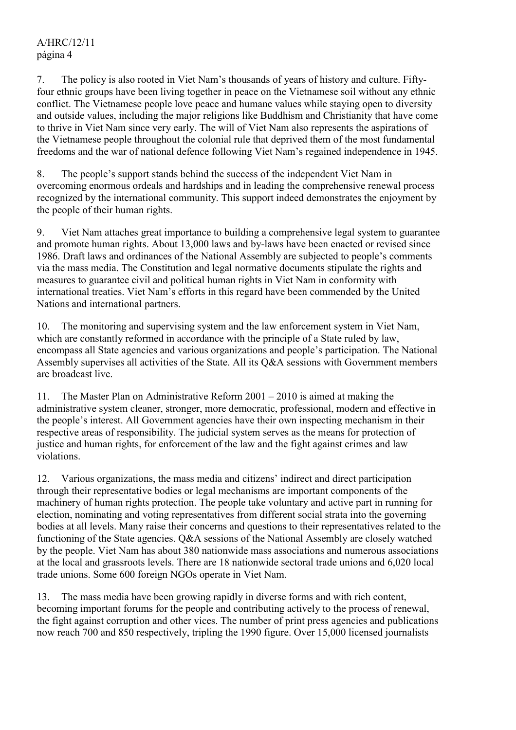## A/HRC/12/11 página 4

7. The policy is also rooted in Viet Nam's thousands of years of history and culture. Fiftyfour ethnic groups have been living together in peace on the Vietnamese soil without any ethnic conflict. The Vietnamese people love peace and humane values while staying open to diversity and outside values, including the major religions like Buddhism and Christianity that have come to thrive in Viet Nam since very early. The will of Viet Nam also represents the aspirations of the Vietnamese people throughout the colonial rule that deprived them of the most fundamental freedoms and the war of national defence following Viet Nam's regained independence in 1945.

8. The people's support stands behind the success of the independent Viet Nam in overcoming enormous ordeals and hardships and in leading the comprehensive renewal process recognized by the international community. This support indeed demonstrates the enjoyment by the people of their human rights.

9. Viet Nam attaches great importance to building a comprehensive legal system to guarantee and promote human rights. About 13,000 laws and by-laws have been enacted or revised since 1986. Draft laws and ordinances of the National Assembly are subjected to people's comments via the mass media. The Constitution and legal normative documents stipulate the rights and measures to guarantee civil and political human rights in Viet Nam in conformity with international treaties. Viet Nam's efforts in this regard have been commended by the United Nations and international partners.

10. The monitoring and supervising system and the law enforcement system in Viet Nam, which are constantly reformed in accordance with the principle of a State ruled by law, encompass all State agencies and various organizations and people's participation. The National Assembly supervises all activities of the State. All its Q&A sessions with Government members are broadcast live.

11. The Master Plan on Administrative Reform 2001 – 2010 is aimed at making the administrative system cleaner, stronger, more democratic, professional, modern and effective in the people's interest. All Government agencies have their own inspecting mechanism in their respective areas of responsibility. The judicial system serves as the means for protection of justice and human rights, for enforcement of the law and the fight against crimes and law violations.

12. Various organizations, the mass media and citizens' indirect and direct participation through their representative bodies or legal mechanisms are important components of the machinery of human rights protection. The people take voluntary and active part in running for election, nominating and voting representatives from different social strata into the governing bodies at all levels. Many raise their concerns and questions to their representatives related to the functioning of the State agencies. Q&A sessions of the National Assembly are closely watched by the people. Viet Nam has about 380 nationwide mass associations and numerous associations at the local and grassroots levels. There are 18 nationwide sectoral trade unions and 6,020 local trade unions. Some 600 foreign NGOs operate in Viet Nam.

13. The mass media have been growing rapidly in diverse forms and with rich content, becoming important forums for the people and contributing actively to the process of renewal, the fight against corruption and other vices. The number of print press agencies and publications now reach 700 and 850 respectively, tripling the 1990 figure. Over 15,000 licensed journalists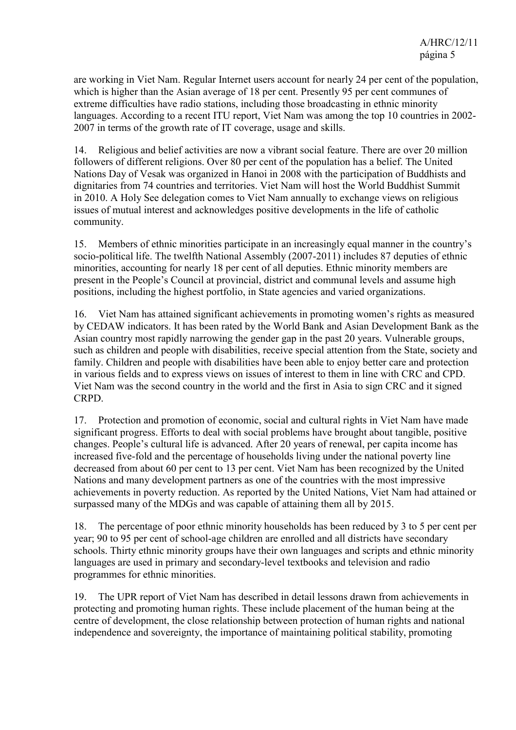are working in Viet Nam. Regular Internet users account for nearly 24 per cent of the population, which is higher than the Asian average of 18 per cent. Presently 95 per cent communes of extreme difficulties have radio stations, including those broadcasting in ethnic minority languages. According to a recent ITU report, Viet Nam was among the top 10 countries in 2002- 2007 in terms of the growth rate of IT coverage, usage and skills.

14. Religious and belief activities are now a vibrant social feature. There are over 20 million followers of different religions. Over 80 per cent of the population has a belief. The United Nations Day of Vesak was organized in Hanoi in 2008 with the participation of Buddhists and dignitaries from 74 countries and territories. Viet Nam will host the World Buddhist Summit in 2010. A Holy See delegation comes to Viet Nam annually to exchange views on religious issues of mutual interest and acknowledges positive developments in the life of catholic community.

15. Members of ethnic minorities participate in an increasingly equal manner in the country's socio-political life. The twelfth National Assembly (2007-2011) includes 87 deputies of ethnic minorities, accounting for nearly 18 per cent of all deputies. Ethnic minority members are present in the People's Council at provincial, district and communal levels and assume high positions, including the highest portfolio, in State agencies and varied organizations.

16. Viet Nam has attained significant achievements in promoting women's rights as measured by CEDAW indicators. It has been rated by the World Bank and Asian Development Bank as the Asian country most rapidly narrowing the gender gap in the past 20 years. Vulnerable groups, such as children and people with disabilities, receive special attention from the State, society and family. Children and people with disabilities have been able to enjoy better care and protection in various fields and to express views on issues of interest to them in line with CRC and CPD. Viet Nam was the second country in the world and the first in Asia to sign CRC and it signed CRPD.

17. Protection and promotion of economic, social and cultural rights in Viet Nam have made significant progress. Efforts to deal with social problems have brought about tangible, positive changes. People's cultural life is advanced. After 20 years of renewal, per capita income has increased five-fold and the percentage of households living under the national poverty line decreased from about 60 per cent to 13 per cent. Viet Nam has been recognized by the United Nations and many development partners as one of the countries with the most impressive achievements in poverty reduction. As reported by the United Nations, Viet Nam had attained or surpassed many of the MDGs and was capable of attaining them all by 2015.

18. The percentage of poor ethnic minority households has been reduced by 3 to 5 per cent per year; 90 to 95 per cent of school-age children are enrolled and all districts have secondary schools. Thirty ethnic minority groups have their own languages and scripts and ethnic minority languages are used in primary and secondary-level textbooks and television and radio programmes for ethnic minorities.

19. The UPR report of Viet Nam has described in detail lessons drawn from achievements in protecting and promoting human rights. These include placement of the human being at the centre of development, the close relationship between protection of human rights and national independence and sovereignty, the importance of maintaining political stability, promoting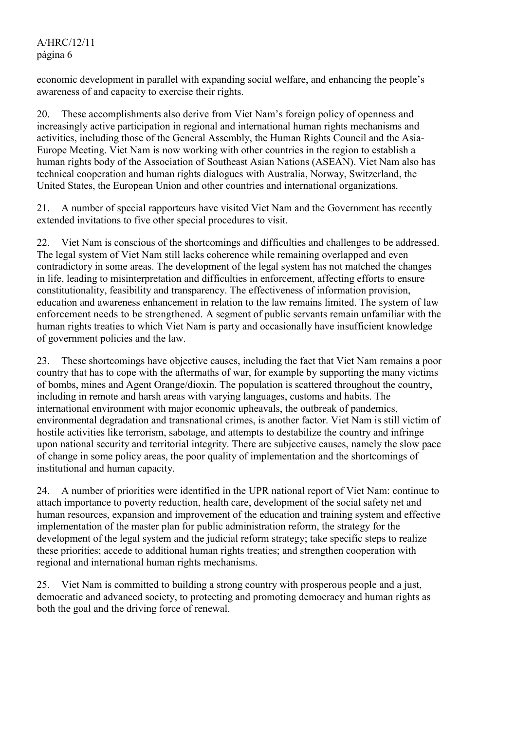economic development in parallel with expanding social welfare, and enhancing the people's awareness of and capacity to exercise their rights.

20. These accomplishments also derive from Viet Nam's foreign policy of openness and increasingly active participation in regional and international human rights mechanisms and activities, including those of the General Assembly, the Human Rights Council and the Asia-Europe Meeting. Viet Nam is now working with other countries in the region to establish a human rights body of the Association of Southeast Asian Nations (ASEAN). Viet Nam also has technical cooperation and human rights dialogues with Australia, Norway, Switzerland, the United States, the European Union and other countries and international organizations.

21. A number of special rapporteurs have visited Viet Nam and the Government has recently extended invitations to five other special procedures to visit.

22. Viet Nam is conscious of the shortcomings and difficulties and challenges to be addressed. The legal system of Viet Nam still lacks coherence while remaining overlapped and even contradictory in some areas. The development of the legal system has not matched the changes in life, leading to misinterpretation and difficulties in enforcement, affecting efforts to ensure constitutionality, feasibility and transparency. The effectiveness of information provision, education and awareness enhancement in relation to the law remains limited. The system of law enforcement needs to be strengthened. A segment of public servants remain unfamiliar with the human rights treaties to which Viet Nam is party and occasionally have insufficient knowledge of government policies and the law.

23. These shortcomings have objective causes, including the fact that Viet Nam remains a poor country that has to cope with the aftermaths of war, for example by supporting the many victims of bombs, mines and Agent Orange/dioxin. The population is scattered throughout the country, including in remote and harsh areas with varying languages, customs and habits. The international environment with major economic upheavals, the outbreak of pandemics, environmental degradation and transnational crimes, is another factor. Viet Nam is still victim of hostile activities like terrorism, sabotage, and attempts to destabilize the country and infringe upon national security and territorial integrity. There are subjective causes, namely the slow pace of change in some policy areas, the poor quality of implementation and the shortcomings of institutional and human capacity.

24. A number of priorities were identified in the UPR national report of Viet Nam: continue to attach importance to poverty reduction, health care, development of the social safety net and human resources, expansion and improvement of the education and training system and effective implementation of the master plan for public administration reform, the strategy for the development of the legal system and the judicial reform strategy; take specific steps to realize these priorities; accede to additional human rights treaties; and strengthen cooperation with regional and international human rights mechanisms.

25. Viet Nam is committed to building a strong country with prosperous people and a just, democratic and advanced society, to protecting and promoting democracy and human rights as both the goal and the driving force of renewal.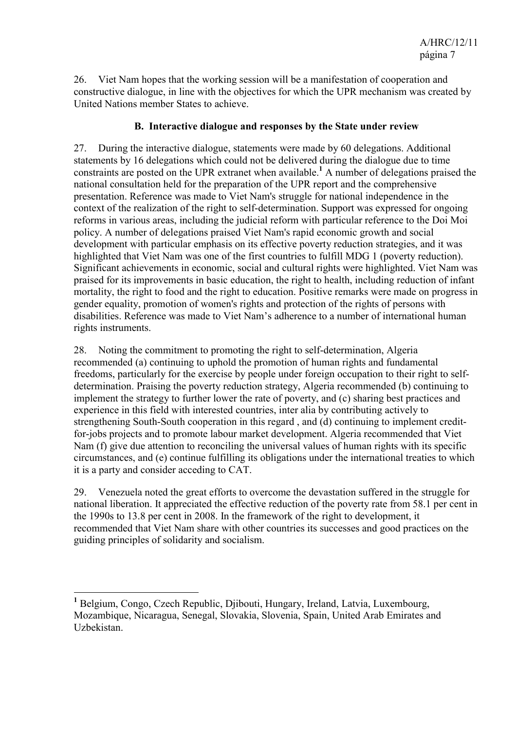26. Viet Nam hopes that the working session will be a manifestation of cooperation and constructive dialogue, in line with the objectives for which the UPR mechanism was created by United Nations member States to achieve.

#### **B. Interactive dialogue and responses by the State under review**

27. During the interactive dialogue, statements were made by 60 delegations. Additional statements by 16 delegations which could not be delivered during the dialogue due to time constraints are posted on the UPR extranet when available.<sup>1</sup> A number of delegations praised the national consultation held for the preparation of the UPR report and the comprehensive presentation. Reference was made to Viet Nam's struggle for national independence in the context of the realization of the right to self-determination. Support was expressed for ongoing reforms in various areas, including the judicial reform with particular reference to the Doi Moi policy. A number of delegations praised Viet Nam's rapid economic growth and social development with particular emphasis on its effective poverty reduction strategies, and it was highlighted that Viet Nam was one of the first countries to fulfill MDG 1 (poverty reduction). Significant achievements in economic, social and cultural rights were highlighted. Viet Nam was praised for its improvements in basic education, the right to health, including reduction of infant mortality, the right to food and the right to education. Positive remarks were made on progress in gender equality, promotion of women's rights and protection of the rights of persons with disabilities. Reference was made to Viet Nam's adherence to a number of international human rights instruments.

28. Noting the commitment to promoting the right to self-determination, Algeria recommended (a) continuing to uphold the promotion of human rights and fundamental freedoms, particularly for the exercise by people under foreign occupation to their right to selfdetermination. Praising the poverty reduction strategy, Algeria recommended (b) continuing to implement the strategy to further lower the rate of poverty, and (c) sharing best practices and experience in this field with interested countries, inter alia by contributing actively to strengthening South-South cooperation in this regard , and (d) continuing to implement creditfor-jobs projects and to promote labour market development. Algeria recommended that Viet Nam (f) give due attention to reconciling the universal values of human rights with its specific circumstances, and (e) continue fulfilling its obligations under the international treaties to which it is a party and consider acceding to CAT.

29. Venezuela noted the great efforts to overcome the devastation suffered in the struggle for national liberation. It appreciated the effective reduction of the poverty rate from 58.1 per cent in the 1990s to 13.8 per cent in 2008. In the framework of the right to development, it recommended that Viet Nam share with other countries its successes and good practices on the guiding principles of solidarity and socialism.

 $\overline{a}$ 

<sup>&</sup>lt;sup>1</sup> Belgium, Congo, Czech Republic, Djibouti, Hungary, Ireland, Latvia, Luxembourg, Mozambique, Nicaragua, Senegal, Slovakia, Slovenia, Spain, United Arab Emirates and Uzbekistan.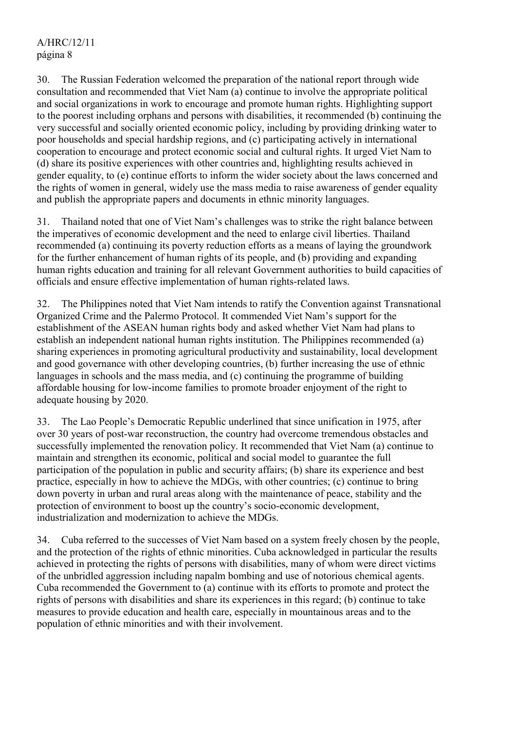30. The Russian Federation welcomed the preparation of the national report through wide consultation and recommended that Viet Nam (a) continue to involve the appropriate political and social organizations in work to encourage and promote human rights. Highlighting support to the poorest including orphans and persons with disabilities, it recommended (b) continuing the very successful and socially oriented economic policy, including by providing drinking water to poor households and special hardship regions, and (c) participating actively in international cooperation to encourage and protect economic social and cultural rights. It urged Viet Nam to (d) share its positive experiences with other countries and, highlighting results achieved in gender equality, to (e) continue efforts to inform the wider society about the laws concerned and the rights of women in general, widely use the mass media to raise awareness of gender equality and publish the appropriate papers and documents in ethnic minority languages.

31. Thailand noted that one of Viet Nam's challenges was to strike the right balance between the imperatives of economic development and the need to enlarge civil liberties. Thailand recommended (a) continuing its poverty reduction efforts as a means of laying the groundwork for the further enhancement of human rights of its people, and (b) providing and expanding human rights education and training for all relevant Government authorities to build capacities of officials and ensure effective implementation of human rights-related laws.

32. The Philippines noted that Viet Nam intends to ratify the Convention against Transnational Organized Crime and the Palermo Protocol. It commended Viet Nam's support for the establishment of the ASEAN human rights body and asked whether Viet Nam had plans to establish an independent national human rights institution. The Philippines recommended (a) sharing experiences in promoting agricultural productivity and sustainability, local development and good governance with other developing countries, (b) further increasing the use of ethnic languages in schools and the mass media, and (c) continuing the programme of building affordable housing for low-income families to promote broader enjoyment of the right to adequate housing by 2020.

33. The Lao People's Democratic Republic underlined that since unification in 1975, after over 30 years of post-war reconstruction, the country had overcome tremendous obstacles and successfully implemented the renovation policy. It recommended that Viet Nam (a) continue to maintain and strengthen its economic, political and social model to guarantee the full participation of the population in public and security affairs; (b) share its experience and best practice, especially in how to achieve the MDGs, with other countries; (c) continue to bring down poverty in urban and rural areas along with the maintenance of peace, stability and the protection of environment to boost up the country's socio-economic development, industrialization and modernization to achieve the MDGs.

34. Cuba referred to the successes of Viet Nam based on a system freely chosen by the people, and the protection of the rights of ethnic minorities. Cuba acknowledged in particular the results achieved in protecting the rights of persons with disabilities, many of whom were direct victims of the unbridled aggression including napalm bombing and use of notorious chemical agents. Cuba recommended the Government to (a) continue with its efforts to promote and protect the rights of persons with disabilities and share its experiences in this regard; (b) continue to take measures to provide education and health care, especially in mountainous areas and to the population of ethnic minorities and with their involvement.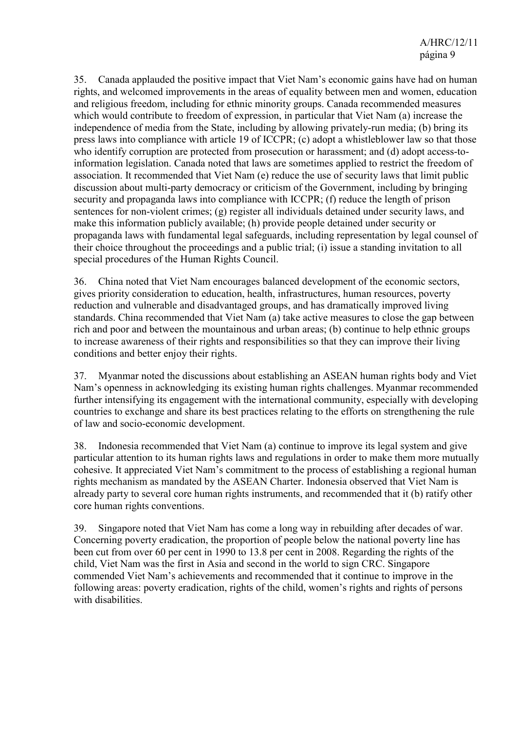35. Canada applauded the positive impact that Viet Nam's economic gains have had on human rights, and welcomed improvements in the areas of equality between men and women, education and religious freedom, including for ethnic minority groups. Canada recommended measures which would contribute to freedom of expression, in particular that Viet Nam (a) increase the independence of media from the State, including by allowing privately-run media; (b) bring its press laws into compliance with article 19 of ICCPR; (c) adopt a whistleblower law so that those who identify corruption are protected from prosecution or harassment; and (d) adopt access-toinformation legislation. Canada noted that laws are sometimes applied to restrict the freedom of association. It recommended that Viet Nam (e) reduce the use of security laws that limit public discussion about multi-party democracy or criticism of the Government, including by bringing security and propaganda laws into compliance with ICCPR; (f) reduce the length of prison sentences for non-violent crimes; (g) register all individuals detained under security laws, and make this information publicly available; (h) provide people detained under security or propaganda laws with fundamental legal safeguards, including representation by legal counsel of their choice throughout the proceedings and a public trial; (i) issue a standing invitation to all special procedures of the Human Rights Council.

36. China noted that Viet Nam encourages balanced development of the economic sectors, gives priority consideration to education, health, infrastructures, human resources, poverty reduction and vulnerable and disadvantaged groups, and has dramatically improved living standards. China recommended that Viet Nam (a) take active measures to close the gap between rich and poor and between the mountainous and urban areas; (b) continue to help ethnic groups to increase awareness of their rights and responsibilities so that they can improve their living conditions and better enjoy their rights.

37. Myanmar noted the discussions about establishing an ASEAN human rights body and Viet Nam's openness in acknowledging its existing human rights challenges. Myanmar recommended further intensifying its engagement with the international community, especially with developing countries to exchange and share its best practices relating to the efforts on strengthening the rule of law and socio-economic development.

38. Indonesia recommended that Viet Nam (a) continue to improve its legal system and give particular attention to its human rights laws and regulations in order to make them more mutually cohesive. It appreciated Viet Nam's commitment to the process of establishing a regional human rights mechanism as mandated by the ASEAN Charter. Indonesia observed that Viet Nam is already party to several core human rights instruments, and recommended that it (b) ratify other core human rights conventions.

39. Singapore noted that Viet Nam has come a long way in rebuilding after decades of war. Concerning poverty eradication, the proportion of people below the national poverty line has been cut from over 60 per cent in 1990 to 13.8 per cent in 2008. Regarding the rights of the child, Viet Nam was the first in Asia and second in the world to sign CRC. Singapore commended Viet Nam's achievements and recommended that it continue to improve in the following areas: poverty eradication, rights of the child, women's rights and rights of persons with disabilities.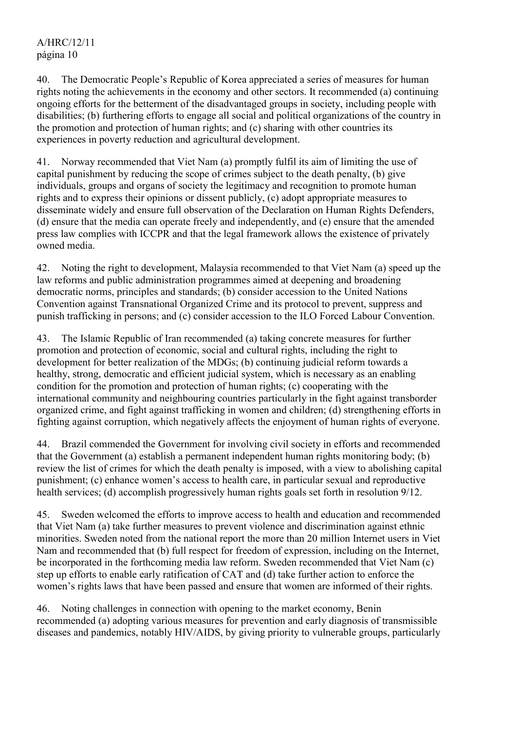### A/HRC/12/11 página 10

40. The Democratic People's Republic of Korea appreciated a series of measures for human rights noting the achievements in the economy and other sectors. It recommended (a) continuing ongoing efforts for the betterment of the disadvantaged groups in society, including people with disabilities; (b) furthering efforts to engage all social and political organizations of the country in the promotion and protection of human rights; and (c) sharing with other countries its experiences in poverty reduction and agricultural development.

41. Norway recommended that Viet Nam (a) promptly fulfil its aim of limiting the use of capital punishment by reducing the scope of crimes subject to the death penalty, (b) give individuals, groups and organs of society the legitimacy and recognition to promote human rights and to express their opinions or dissent publicly, (c) adopt appropriate measures to disseminate widely and ensure full observation of the Declaration on Human Rights Defenders, (d) ensure that the media can operate freely and independently, and (e) ensure that the amended press law complies with ICCPR and that the legal framework allows the existence of privately owned media.

42. Noting the right to development, Malaysia recommended to that Viet Nam (a) speed up the law reforms and public administration programmes aimed at deepening and broadening democratic norms, principles and standards; (b) consider accession to the United Nations Convention against Transnational Organized Crime and its protocol to prevent, suppress and punish trafficking in persons; and (c) consider accession to the ILO Forced Labour Convention.

43. The Islamic Republic of Iran recommended (a) taking concrete measures for further promotion and protection of economic, social and cultural rights, including the right to development for better realization of the MDGs; (b) continuing judicial reform towards a healthy, strong, democratic and efficient judicial system, which is necessary as an enabling condition for the promotion and protection of human rights; (c) cooperating with the international community and neighbouring countries particularly in the fight against transborder organized crime, and fight against trafficking in women and children; (d) strengthening efforts in fighting against corruption, which negatively affects the enjoyment of human rights of everyone.

44. Brazil commended the Government for involving civil society in efforts and recommended that the Government (a) establish a permanent independent human rights monitoring body; (b) review the list of crimes for which the death penalty is imposed, with a view to abolishing capital punishment; (c) enhance women's access to health care, in particular sexual and reproductive health services; (d) accomplish progressively human rights goals set forth in resolution 9/12.

45. Sweden welcomed the efforts to improve access to health and education and recommended that Viet Nam (a) take further measures to prevent violence and discrimination against ethnic minorities. Sweden noted from the national report the more than 20 million Internet users in Viet Nam and recommended that (b) full respect for freedom of expression, including on the Internet, be incorporated in the forthcoming media law reform. Sweden recommended that Viet Nam (c) step up efforts to enable early ratification of CAT and (d) take further action to enforce the women's rights laws that have been passed and ensure that women are informed of their rights.

46. Noting challenges in connection with opening to the market economy, Benin recommended (a) adopting various measures for prevention and early diagnosis of transmissible diseases and pandemics, notably HIV/AIDS, by giving priority to vulnerable groups, particularly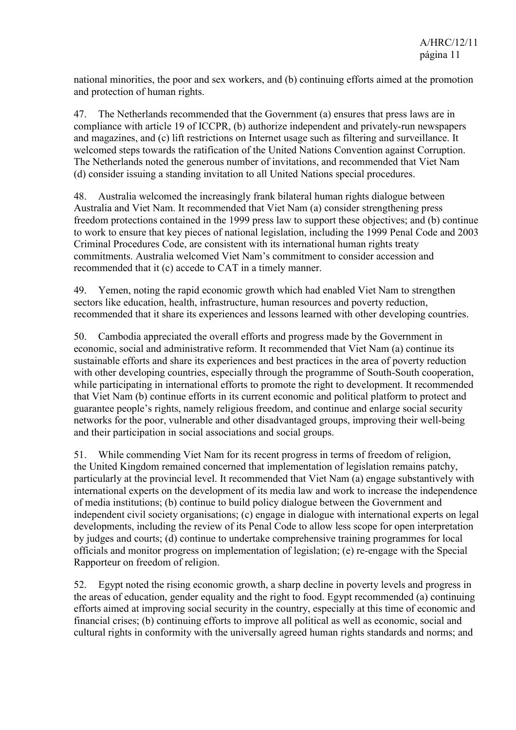national minorities, the poor and sex workers, and (b) continuing efforts aimed at the promotion and protection of human rights.

47. The Netherlands recommended that the Government (a) ensures that press laws are in compliance with article 19 of ICCPR, (b) authorize independent and privately-run newspapers and magazines, and (c) lift restrictions on Internet usage such as filtering and surveillance. It welcomed steps towards the ratification of the United Nations Convention against Corruption. The Netherlands noted the generous number of invitations, and recommended that Viet Nam (d) consider issuing a standing invitation to all United Nations special procedures.

48. Australia welcomed the increasingly frank bilateral human rights dialogue between Australia and Viet Nam. It recommended that Viet Nam (a) consider strengthening press freedom protections contained in the 1999 press law to support these objectives; and (b) continue to work to ensure that key pieces of national legislation, including the 1999 Penal Code and 2003 Criminal Procedures Code, are consistent with its international human rights treaty commitments. Australia welcomed Viet Nam's commitment to consider accession and recommended that it (c) accede to CAT in a timely manner.

49. Yemen, noting the rapid economic growth which had enabled Viet Nam to strengthen sectors like education, health, infrastructure, human resources and poverty reduction, recommended that it share its experiences and lessons learned with other developing countries.

50. Cambodia appreciated the overall efforts and progress made by the Government in economic, social and administrative reform. It recommended that Viet Nam (a) continue its sustainable efforts and share its experiences and best practices in the area of poverty reduction with other developing countries, especially through the programme of South-South cooperation, while participating in international efforts to promote the right to development. It recommended that Viet Nam (b) continue efforts in its current economic and political platform to protect and guarantee people's rights, namely religious freedom, and continue and enlarge social security networks for the poor, vulnerable and other disadvantaged groups, improving their well-being and their participation in social associations and social groups.

51. While commending Viet Nam for its recent progress in terms of freedom of religion, the United Kingdom remained concerned that implementation of legislation remains patchy, particularly at the provincial level. It recommended that Viet Nam (a) engage substantively with international experts on the development of its media law and work to increase the independence of media institutions; (b) continue to build policy dialogue between the Government and independent civil society organisations; (c) engage in dialogue with international experts on legal developments, including the review of its Penal Code to allow less scope for open interpretation by judges and courts; (d) continue to undertake comprehensive training programmes for local officials and monitor progress on implementation of legislation; (e) re-engage with the Special Rapporteur on freedom of religion.

52. Egypt noted the rising economic growth, a sharp decline in poverty levels and progress in the areas of education, gender equality and the right to food. Egypt recommended (a) continuing efforts aimed at improving social security in the country, especially at this time of economic and financial crises; (b) continuing efforts to improve all political as well as economic, social and cultural rights in conformity with the universally agreed human rights standards and norms; and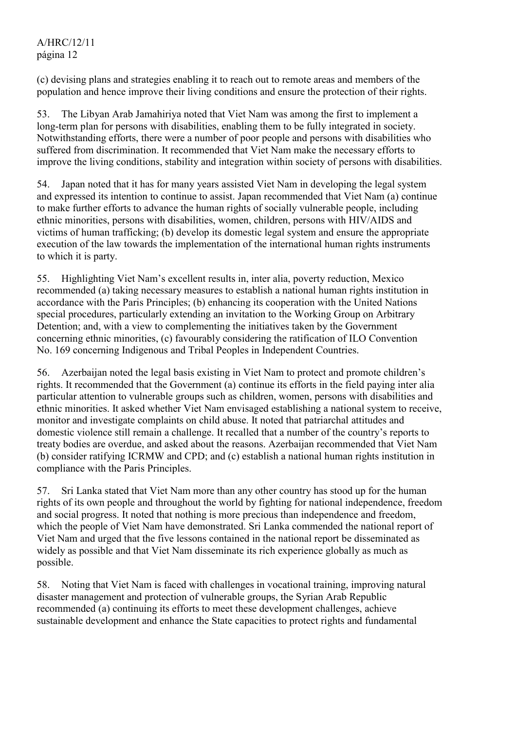#### A/HRC/12/11 página 12

(c) devising plans and strategies enabling it to reach out to remote areas and members of the population and hence improve their living conditions and ensure the protection of their rights.

53. The Libyan Arab Jamahiriya noted that Viet Nam was among the first to implement a long-term plan for persons with disabilities, enabling them to be fully integrated in society. Notwithstanding efforts, there were a number of poor people and persons with disabilities who suffered from discrimination. It recommended that Viet Nam make the necessary efforts to improve the living conditions, stability and integration within society of persons with disabilities.

54. Japan noted that it has for many years assisted Viet Nam in developing the legal system and expressed its intention to continue to assist. Japan recommended that Viet Nam (a) continue to make further efforts to advance the human rights of socially vulnerable people, including ethnic minorities, persons with disabilities, women, children, persons with HIV/AIDS and victims of human trafficking; (b) develop its domestic legal system and ensure the appropriate execution of the law towards the implementation of the international human rights instruments to which it is party.

55. Highlighting Viet Nam's excellent results in, inter alia, poverty reduction, Mexico recommended (a) taking necessary measures to establish a national human rights institution in accordance with the Paris Principles; (b) enhancing its cooperation with the United Nations special procedures, particularly extending an invitation to the Working Group on Arbitrary Detention; and, with a view to complementing the initiatives taken by the Government concerning ethnic minorities, (c) favourably considering the ratification of ILO Convention No. 169 concerning Indigenous and Tribal Peoples in Independent Countries.

56. Azerbaijan noted the legal basis existing in Viet Nam to protect and promote children's rights. It recommended that the Government (a) continue its efforts in the field paying inter alia particular attention to vulnerable groups such as children, women, persons with disabilities and ethnic minorities. It asked whether Viet Nam envisaged establishing a national system to receive, monitor and investigate complaints on child abuse. It noted that patriarchal attitudes and domestic violence still remain a challenge. It recalled that a number of the country's reports to treaty bodies are overdue, and asked about the reasons. Azerbaijan recommended that Viet Nam (b) consider ratifying ICRMW and CPD; and (c) establish a national human rights institution in compliance with the Paris Principles.

57. Sri Lanka stated that Viet Nam more than any other country has stood up for the human rights of its own people and throughout the world by fighting for national independence, freedom and social progress. It noted that nothing is more precious than independence and freedom, which the people of Viet Nam have demonstrated. Sri Lanka commended the national report of Viet Nam and urged that the five lessons contained in the national report be disseminated as widely as possible and that Viet Nam disseminate its rich experience globally as much as possible.

58. Noting that Viet Nam is faced with challenges in vocational training, improving natural disaster management and protection of vulnerable groups, the Syrian Arab Republic recommended (a) continuing its efforts to meet these development challenges, achieve sustainable development and enhance the State capacities to protect rights and fundamental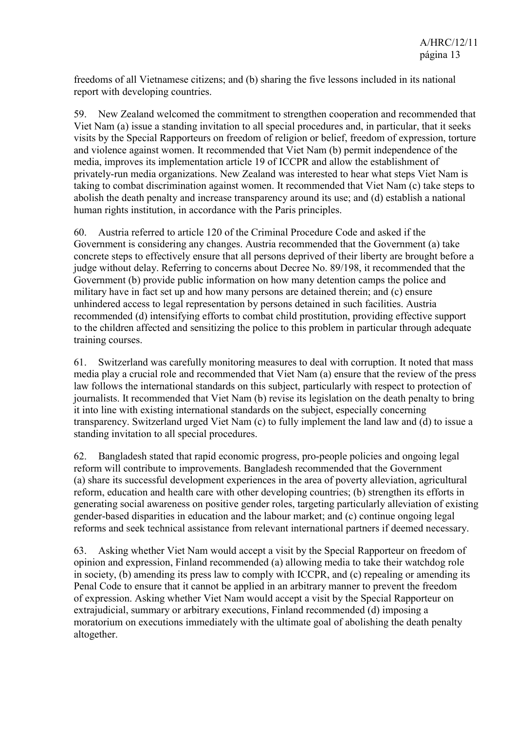freedoms of all Vietnamese citizens; and (b) sharing the five lessons included in its national report with developing countries.

59. New Zealand welcomed the commitment to strengthen cooperation and recommended that Viet Nam (a) issue a standing invitation to all special procedures and, in particular, that it seeks visits by the Special Rapporteurs on freedom of religion or belief, freedom of expression, torture and violence against women. It recommended that Viet Nam (b) permit independence of the media, improves its implementation article 19 of ICCPR and allow the establishment of privately-run media organizations. New Zealand was interested to hear what steps Viet Nam is taking to combat discrimination against women. It recommended that Viet Nam (c) take steps to abolish the death penalty and increase transparency around its use; and (d) establish a national human rights institution, in accordance with the Paris principles.

60. Austria referred to article 120 of the Criminal Procedure Code and asked if the Government is considering any changes. Austria recommended that the Government (a) take concrete steps to effectively ensure that all persons deprived of their liberty are brought before a judge without delay. Referring to concerns about Decree No. 89/198, it recommended that the Government (b) provide public information on how many detention camps the police and military have in fact set up and how many persons are detained therein; and (c) ensure unhindered access to legal representation by persons detained in such facilities. Austria recommended (d) intensifying efforts to combat child prostitution, providing effective support to the children affected and sensitizing the police to this problem in particular through adequate training courses.

61. Switzerland was carefully monitoring measures to deal with corruption. It noted that mass media play a crucial role and recommended that Viet Nam (a) ensure that the review of the press law follows the international standards on this subject, particularly with respect to protection of journalists. It recommended that Viet Nam (b) revise its legislation on the death penalty to bring it into line with existing international standards on the subject, especially concerning transparency. Switzerland urged Viet Nam (c) to fully implement the land law and (d) to issue a standing invitation to all special procedures.

62. Bangladesh stated that rapid economic progress, pro-people policies and ongoing legal reform will contribute to improvements. Bangladesh recommended that the Government (a) share its successful development experiences in the area of poverty alleviation, agricultural reform, education and health care with other developing countries; (b) strengthen its efforts in generating social awareness on positive gender roles, targeting particularly alleviation of existing gender-based disparities in education and the labour market; and (c) continue ongoing legal reforms and seek technical assistance from relevant international partners if deemed necessary.

63. Asking whether Viet Nam would accept a visit by the Special Rapporteur on freedom of opinion and expression, Finland recommended (a) allowing media to take their watchdog role in society, (b) amending its press law to comply with ICCPR, and (c) repealing or amending its Penal Code to ensure that it cannot be applied in an arbitrary manner to prevent the freedom of expression. Asking whether Viet Nam would accept a visit by the Special Rapporteur on extrajudicial, summary or arbitrary executions, Finland recommended (d) imposing a moratorium on executions immediately with the ultimate goal of abolishing the death penalty altogether.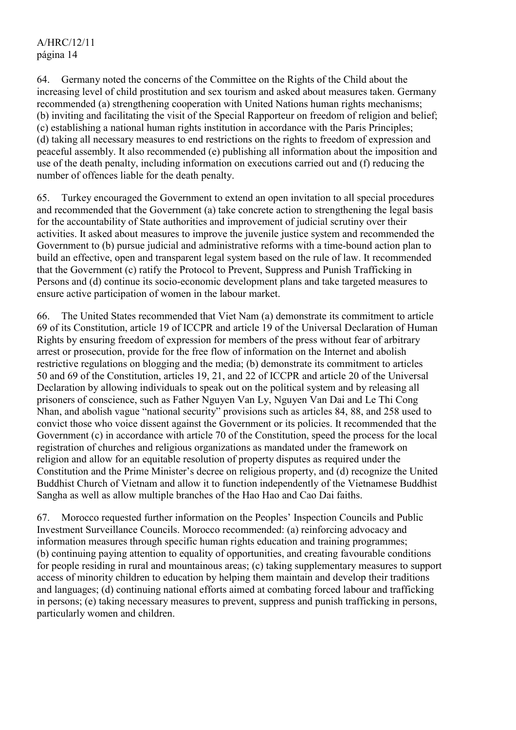64. Germany noted the concerns of the Committee on the Rights of the Child about the increasing level of child prostitution and sex tourism and asked about measures taken. Germany recommended (a) strengthening cooperation with United Nations human rights mechanisms; (b) inviting and facilitating the visit of the Special Rapporteur on freedom of religion and belief; (c) establishing a national human rights institution in accordance with the Paris Principles; (d) taking all necessary measures to end restrictions on the rights to freedom of expression and peaceful assembly. It also recommended (e) publishing all information about the imposition and use of the death penalty, including information on executions carried out and (f) reducing the number of offences liable for the death penalty.

65. Turkey encouraged the Government to extend an open invitation to all special procedures and recommended that the Government (a) take concrete action to strengthening the legal basis for the accountability of State authorities and improvement of judicial scrutiny over their activities. It asked about measures to improve the juvenile justice system and recommended the Government to (b) pursue judicial and administrative reforms with a time-bound action plan to build an effective, open and transparent legal system based on the rule of law. It recommended that the Government (c) ratify the Protocol to Prevent, Suppress and Punish Trafficking in Persons and (d) continue its socio-economic development plans and take targeted measures to ensure active participation of women in the labour market.

66. The United States recommended that Viet Nam (a) demonstrate its commitment to article 69 of its Constitution, article 19 of ICCPR and article 19 of the Universal Declaration of Human Rights by ensuring freedom of expression for members of the press without fear of arbitrary arrest or prosecution, provide for the free flow of information on the Internet and abolish restrictive regulations on blogging and the media; (b) demonstrate its commitment to articles 50 and 69 of the Constitution, articles 19, 21, and 22 of ICCPR and article 20 of the Universal Declaration by allowing individuals to speak out on the political system and by releasing all prisoners of conscience, such as Father Nguyen Van Ly, Nguyen Van Dai and Le Thi Cong Nhan, and abolish vague "national security" provisions such as articles 84, 88, and 258 used to convict those who voice dissent against the Government or its policies. It recommended that the Government (c) in accordance with article 70 of the Constitution, speed the process for the local registration of churches and religious organizations as mandated under the framework on religion and allow for an equitable resolution of property disputes as required under the Constitution and the Prime Minister's decree on religious property, and (d) recognize the United Buddhist Church of Vietnam and allow it to function independently of the Vietnamese Buddhist Sangha as well as allow multiple branches of the Hao Hao and Cao Dai faiths.

67. Morocco requested further information on the Peoples' Inspection Councils and Public Investment Surveillance Councils. Morocco recommended: (a) reinforcing advocacy and information measures through specific human rights education and training programmes; (b) continuing paying attention to equality of opportunities, and creating favourable conditions for people residing in rural and mountainous areas; (c) taking supplementary measures to support access of minority children to education by helping them maintain and develop their traditions and languages; (d) continuing national efforts aimed at combating forced labour and trafficking in persons; (e) taking necessary measures to prevent, suppress and punish trafficking in persons, particularly women and children.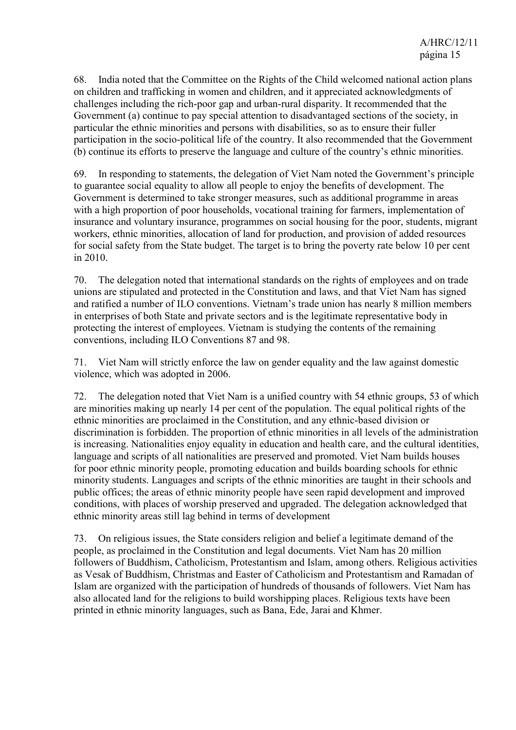68. India noted that the Committee on the Rights of the Child welcomed national action plans on children and trafficking in women and children, and it appreciated acknowledgments of challenges including the rich-poor gap and urban-rural disparity. It recommended that the Government (a) continue to pay special attention to disadvantaged sections of the society, in particular the ethnic minorities and persons with disabilities, so as to ensure their fuller participation in the socio-political life of the country. It also recommended that the Government (b) continue its efforts to preserve the language and culture of the country's ethnic minorities.

69. In responding to statements, the delegation of Viet Nam noted the Government's principle to guarantee social equality to allow all people to enjoy the benefits of development. The Government is determined to take stronger measures, such as additional programme in areas with a high proportion of poor households, vocational training for farmers, implementation of insurance and voluntary insurance, programmes on social housing for the poor, students, migrant workers, ethnic minorities, allocation of land for production, and provision of added resources for social safety from the State budget. The target is to bring the poverty rate below 10 per cent in 2010.

70. The delegation noted that international standards on the rights of employees and on trade unions are stipulated and protected in the Constitution and laws, and that Viet Nam has signed and ratified a number of ILO conventions. Vietnam's trade union has nearly 8 million members in enterprises of both State and private sectors and is the legitimate representative body in protecting the interest of employees. Vietnam is studying the contents of the remaining conventions, including ILO Conventions 87 and 98.

71. Viet Nam will strictly enforce the law on gender equality and the law against domestic violence, which was adopted in 2006.

72. The delegation noted that Viet Nam is a unified country with 54 ethnic groups, 53 of which are minorities making up nearly 14 per cent of the population. The equal political rights of the ethnic minorities are proclaimed in the Constitution, and any ethnic-based division or discrimination is forbidden. The proportion of ethnic minorities in all levels of the administration is increasing. Nationalities enjoy equality in education and health care, and the cultural identities, language and scripts of all nationalities are preserved and promoted. Viet Nam builds houses for poor ethnic minority people, promoting education and builds boarding schools for ethnic minority students. Languages and scripts of the ethnic minorities are taught in their schools and public offices; the areas of ethnic minority people have seen rapid development and improved conditions, with places of worship preserved and upgraded. The delegation acknowledged that ethnic minority areas still lag behind in terms of development

73. On religious issues, the State considers religion and belief a legitimate demand of the people, as proclaimed in the Constitution and legal documents. Viet Nam has 20 million followers of Buddhism, Catholicism, Protestantism and Islam, among others. Religious activities as Vesak of Buddhism, Christmas and Easter of Catholicism and Protestantism and Ramadan of Islam are organized with the participation of hundreds of thousands of followers. Viet Nam has also allocated land for the religions to build worshipping places. Religious texts have been printed in ethnic minority languages, such as Bana, Ede, Jarai and Khmer.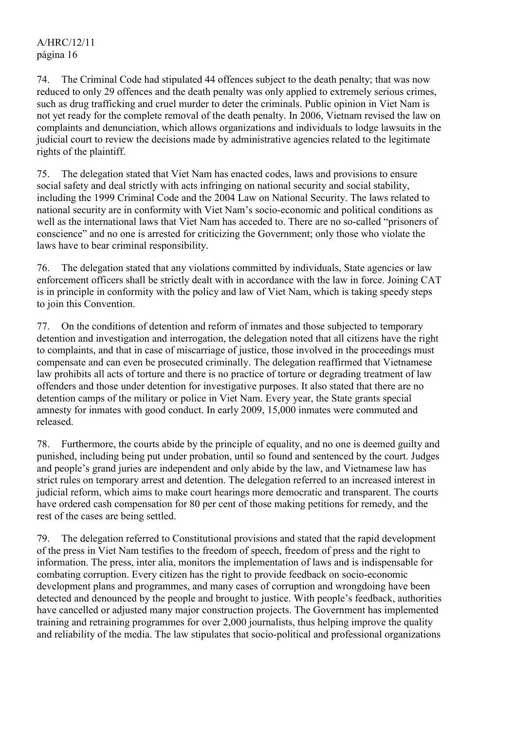74. The Criminal Code had stipulated 44 offences subject to the death penalty; that was now reduced to only 29 offences and the death penalty was only applied to extremely serious crimes, such as drug trafficking and cruel murder to deter the criminals. Public opinion in Viet Nam is not yet ready for the complete removal of the death penalty. In 2006, Vietnam revised the law on complaints and denunciation, which allows organizations and individuals to lodge lawsuits in the judicial court to review the decisions made by administrative agencies related to the legitimate rights of the plaintiff.

75. The delegation stated that Viet Nam has enacted codes, laws and provisions to ensure social safety and deal strictly with acts infringing on national security and social stability, including the 1999 Criminal Code and the 2004 Law on National Security. The laws related to national security are in conformity with Viet Nam's socio-economic and political conditions as well as the international laws that Viet Nam has acceded to. There are no so-called "prisoners of conscience" and no one is arrested for criticizing the Government; only those who violate the laws have to bear criminal responsibility.

76. The delegation stated that any violations committed by individuals, State agencies or law enforcement officers shall be strictly dealt with in accordance with the law in force. Joining CAT is in principle in conformity with the policy and law of Viet Nam, which is taking speedy steps to join this Convention.

77. On the conditions of detention and reform of inmates and those subjected to temporary detention and investigation and interrogation, the delegation noted that all citizens have the right to complaints, and that in case of miscarriage of justice, those involved in the proceedings must compensate and can even be prosecuted criminally. The delegation reaffirmed that Vietnamese law prohibits all acts of torture and there is no practice of torture or degrading treatment of law offenders and those under detention for investigative purposes. It also stated that there are no detention camps of the military or police in Viet Nam. Every year, the State grants special amnesty for inmates with good conduct. In early 2009, 15,000 inmates were commuted and released.

78. Furthermore, the courts abide by the principle of equality, and no one is deemed guilty and punished, including being put under probation, until so found and sentenced by the court. Judges and people's grand juries are independent and only abide by the law, and Vietnamese law has strict rules on temporary arrest and detention. The delegation referred to an increased interest in judicial reform, which aims to make court hearings more democratic and transparent. The courts have ordered cash compensation for 80 per cent of those making petitions for remedy, and the rest of the cases are being settled.

79. The delegation referred to Constitutional provisions and stated that the rapid development of the press in Viet Nam testifies to the freedom of speech, freedom of press and the right to information. The press, inter alia, monitors the implementation of laws and is indispensable for combating corruption. Every citizen has the right to provide feedback on socio-economic development plans and programmes, and many cases of corruption and wrongdoing have been detected and denounced by the people and brought to justice. With people's feedback, authorities have cancelled or adjusted many major construction projects. The Government has implemented training and retraining programmes for over 2,000 journalists, thus helping improve the quality and reliability of the media. The law stipulates that socio-political and professional organizations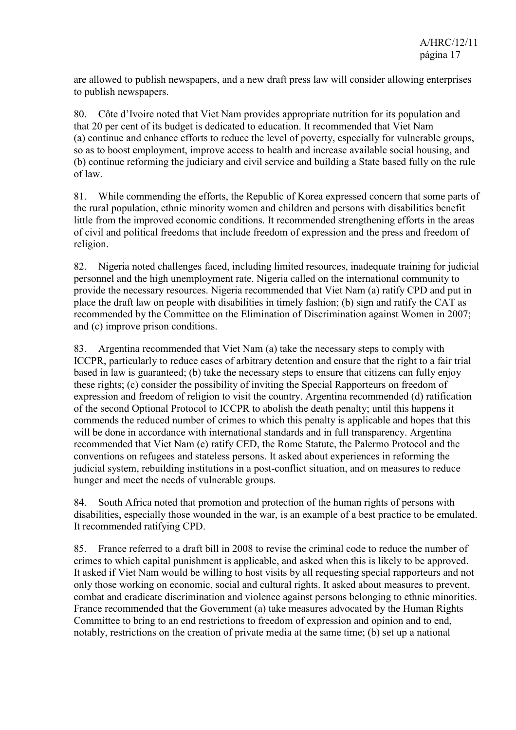are allowed to publish newspapers, and a new draft press law will consider allowing enterprises to publish newspapers.

80. Côte d'Ivoire noted that Viet Nam provides appropriate nutrition for its population and that 20 per cent of its budget is dedicated to education. It recommended that Viet Nam (a) continue and enhance efforts to reduce the level of poverty, especially for vulnerable groups, so as to boost employment, improve access to health and increase available social housing, and (b) continue reforming the judiciary and civil service and building a State based fully on the rule of law.

81. While commending the efforts, the Republic of Korea expressed concern that some parts of the rural population, ethnic minority women and children and persons with disabilities benefit little from the improved economic conditions. It recommended strengthening efforts in the areas of civil and political freedoms that include freedom of expression and the press and freedom of religion.

82. Nigeria noted challenges faced, including limited resources, inadequate training for judicial personnel and the high unemployment rate. Nigeria called on the international community to provide the necessary resources. Nigeria recommended that Viet Nam (a) ratify CPD and put in place the draft law on people with disabilities in timely fashion; (b) sign and ratify the CAT as recommended by the Committee on the Elimination of Discrimination against Women in 2007; and (c) improve prison conditions.

83. Argentina recommended that Viet Nam (a) take the necessary steps to comply with ICCPR, particularly to reduce cases of arbitrary detention and ensure that the right to a fair trial based in law is guaranteed; (b) take the necessary steps to ensure that citizens can fully enjoy these rights; (c) consider the possibility of inviting the Special Rapporteurs on freedom of expression and freedom of religion to visit the country. Argentina recommended (d) ratification of the second Optional Protocol to ICCPR to abolish the death penalty; until this happens it commends the reduced number of crimes to which this penalty is applicable and hopes that this will be done in accordance with international standards and in full transparency. Argentina recommended that Viet Nam (e) ratify CED, the Rome Statute, the Palermo Protocol and the conventions on refugees and stateless persons. It asked about experiences in reforming the judicial system, rebuilding institutions in a post-conflict situation, and on measures to reduce hunger and meet the needs of vulnerable groups.

84. South Africa noted that promotion and protection of the human rights of persons with disabilities, especially those wounded in the war, is an example of a best practice to be emulated. It recommended ratifying CPD.

85. France referred to a draft bill in 2008 to revise the criminal code to reduce the number of crimes to which capital punishment is applicable, and asked when this is likely to be approved. It asked if Viet Nam would be willing to host visits by all requesting special rapporteurs and not only those working on economic, social and cultural rights. It asked about measures to prevent, combat and eradicate discrimination and violence against persons belonging to ethnic minorities. France recommended that the Government (a) take measures advocated by the Human Rights Committee to bring to an end restrictions to freedom of expression and opinion and to end, notably, restrictions on the creation of private media at the same time; (b) set up a national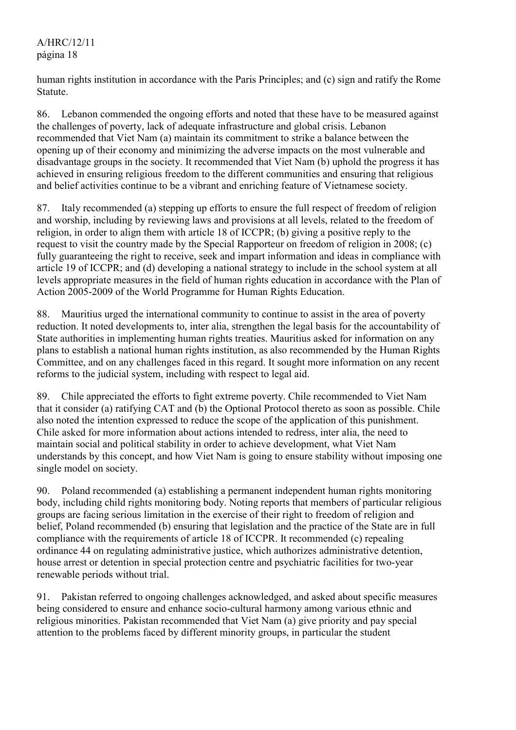### A/HRC/12/11 página 18

human rights institution in accordance with the Paris Principles; and (c) sign and ratify the Rome Statute.

86. Lebanon commended the ongoing efforts and noted that these have to be measured against the challenges of poverty, lack of adequate infrastructure and global crisis. Lebanon recommended that Viet Nam (a) maintain its commitment to strike a balance between the opening up of their economy and minimizing the adverse impacts on the most vulnerable and disadvantage groups in the society. It recommended that Viet Nam (b) uphold the progress it has achieved in ensuring religious freedom to the different communities and ensuring that religious and belief activities continue to be a vibrant and enriching feature of Vietnamese society.

87. Italy recommended (a) stepping up efforts to ensure the full respect of freedom of religion and worship, including by reviewing laws and provisions at all levels, related to the freedom of religion, in order to align them with article 18 of ICCPR; (b) giving a positive reply to the request to visit the country made by the Special Rapporteur on freedom of religion in 2008; (c) fully guaranteeing the right to receive, seek and impart information and ideas in compliance with article 19 of ICCPR; and (d) developing a national strategy to include in the school system at all levels appropriate measures in the field of human rights education in accordance with the Plan of Action 2005-2009 of the World Programme for Human Rights Education.

88. Mauritius urged the international community to continue to assist in the area of poverty reduction. It noted developments to, inter alia, strengthen the legal basis for the accountability of State authorities in implementing human rights treaties. Mauritius asked for information on any plans to establish a national human rights institution, as also recommended by the Human Rights Committee, and on any challenges faced in this regard. It sought more information on any recent reforms to the judicial system, including with respect to legal aid.

89. Chile appreciated the efforts to fight extreme poverty. Chile recommended to Viet Nam that it consider (a) ratifying CAT and (b) the Optional Protocol thereto as soon as possible. Chile also noted the intention expressed to reduce the scope of the application of this punishment. Chile asked for more information about actions intended to redress, inter alia, the need to maintain social and political stability in order to achieve development, what Viet Nam understands by this concept, and how Viet Nam is going to ensure stability without imposing one single model on society.

90. Poland recommended (a) establishing a permanent independent human rights monitoring body, including child rights monitoring body. Noting reports that members of particular religious groups are facing serious limitation in the exercise of their right to freedom of religion and belief, Poland recommended (b) ensuring that legislation and the practice of the State are in full compliance with the requirements of article 18 of ICCPR. It recommended (c) repealing ordinance 44 on regulating administrative justice, which authorizes administrative detention, house arrest or detention in special protection centre and psychiatric facilities for two-year renewable periods without trial.

91. Pakistan referred to ongoing challenges acknowledged, and asked about specific measures being considered to ensure and enhance socio-cultural harmony among various ethnic and religious minorities. Pakistan recommended that Viet Nam (a) give priority and pay special attention to the problems faced by different minority groups, in particular the student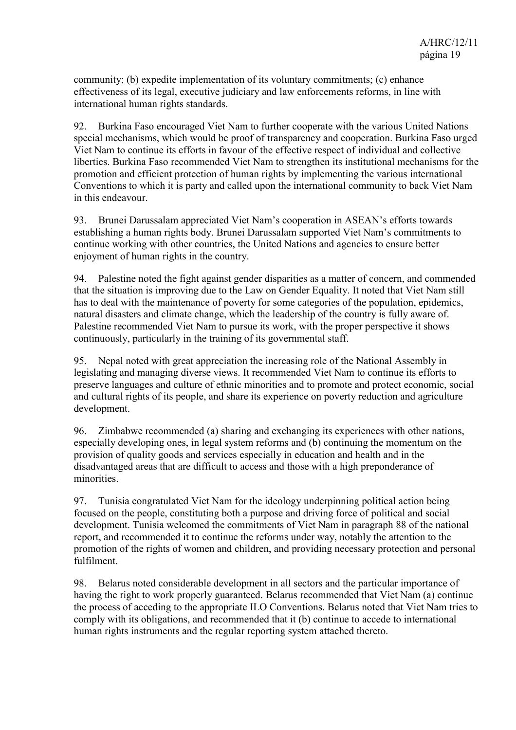community; (b) expedite implementation of its voluntary commitments; (c) enhance effectiveness of its legal, executive judiciary and law enforcements reforms, in line with international human rights standards.

92. Burkina Faso encouraged Viet Nam to further cooperate with the various United Nations special mechanisms, which would be proof of transparency and cooperation. Burkina Faso urged Viet Nam to continue its efforts in favour of the effective respect of individual and collective liberties. Burkina Faso recommended Viet Nam to strengthen its institutional mechanisms for the promotion and efficient protection of human rights by implementing the various international Conventions to which it is party and called upon the international community to back Viet Nam in this endeavour.

93. Brunei Darussalam appreciated Viet Nam's cooperation in ASEAN's efforts towards establishing a human rights body. Brunei Darussalam supported Viet Nam's commitments to continue working with other countries, the United Nations and agencies to ensure better enjoyment of human rights in the country.

94. Palestine noted the fight against gender disparities as a matter of concern, and commended that the situation is improving due to the Law on Gender Equality. It noted that Viet Nam still has to deal with the maintenance of poverty for some categories of the population, epidemics, natural disasters and climate change, which the leadership of the country is fully aware of. Palestine recommended Viet Nam to pursue its work, with the proper perspective it shows continuously, particularly in the training of its governmental staff.

95. Nepal noted with great appreciation the increasing role of the National Assembly in legislating and managing diverse views. It recommended Viet Nam to continue its efforts to preserve languages and culture of ethnic minorities and to promote and protect economic, social and cultural rights of its people, and share its experience on poverty reduction and agriculture development.

96. Zimbabwe recommended (a) sharing and exchanging its experiences with other nations, especially developing ones, in legal system reforms and (b) continuing the momentum on the provision of quality goods and services especially in education and health and in the disadvantaged areas that are difficult to access and those with a high preponderance of minorities.

97. Tunisia congratulated Viet Nam for the ideology underpinning political action being focused on the people, constituting both a purpose and driving force of political and social development. Tunisia welcomed the commitments of Viet Nam in paragraph 88 of the national report, and recommended it to continue the reforms under way, notably the attention to the promotion of the rights of women and children, and providing necessary protection and personal fulfilment.

98. Belarus noted considerable development in all sectors and the particular importance of having the right to work properly guaranteed. Belarus recommended that Viet Nam (a) continue the process of acceding to the appropriate ILO Conventions. Belarus noted that Viet Nam tries to comply with its obligations, and recommended that it (b) continue to accede to international human rights instruments and the regular reporting system attached thereto.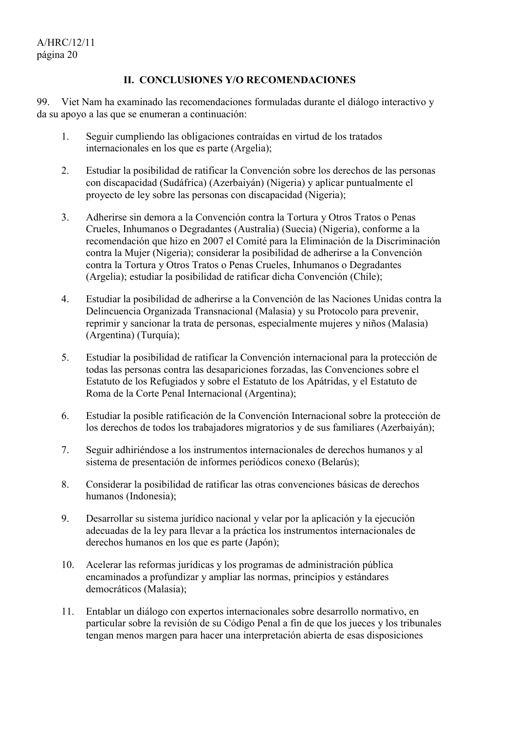#### **II. CONCLUSIONES Y/O RECOMENDACIONES**

99. Viet Nam ha examinado las recomendaciones formuladas durante el diálogo interactivo y da su apoyo a las que se enumeran a continuación:

- 1. Seguir cumpliendo las obligaciones contraídas en virtud de los tratados internacionales en los que es parte (Argelia);
- 2. Estudiar la posibilidad de ratificar la Convención sobre los derechos de las personas con discapacidad (Sudáfrica) (Azerbaiyán) (Nigeria) y aplicar puntualmente el proyecto de ley sobre las personas con discapacidad (Nigeria);
- 3. Adherirse sin demora a la Convención contra la Tortura y Otros Tratos o Penas Crueles, Inhumanos o Degradantes (Australia) (Suecia) (Nigeria), conforme a la recomendación que hizo en 2007 el Comité para la Eliminación de la Discriminación contra la Mujer (Nigeria); considerar la posibilidad de adherirse a la Convención contra la Tortura y Otros Tratos o Penas Crueles, Inhumanos o Degradantes (Argelia); estudiar la posibilidad de ratificar dicha Convención (Chile);
- 4. Estudiar la posibilidad de adherirse a la Convención de las Naciones Unidas contra la Delincuencia Organizada Transnacional (Malasia) y su Protocolo para prevenir, reprimir y sancionar la trata de personas, especialmente mujeres y niños (Malasia) (Argentina) (Turquía);
- 5. Estudiar la posibilidad de ratificar la Convención internacional para la protección de todas las personas contra las desapariciones forzadas, las Convenciones sobre el Estatuto de los Refugiados y sobre el Estatuto de los Apátridas, y el Estatuto de Roma de la Corte Penal Internacional (Argentina);
- 6. Estudiar la posible ratificación de la Convención Internacional sobre la protección de los derechos de todos los trabajadores migratorios y de sus familiares (Azerbaiyán);
- 7. Seguir adhiriéndose a los instrumentos internacionales de derechos humanos y al sistema de presentación de informes periódicos conexo (Belarús);
- 8. Considerar la posibilidad de ratificar las otras convenciones básicas de derechos humanos (Indonesia);
- 9. Desarrollar su sistema jurídico nacional y velar por la aplicación y la ejecución adecuadas de la ley para llevar a la práctica los instrumentos internacionales de derechos humanos en los que es parte (Japón);
- 10. Acelerar las reformas jurídicas y los programas de administración pública encaminados a profundizar y ampliar las normas, principios y estándares democráticos (Malasia);
- 11. Entablar un diálogo con expertos internacionales sobre desarrollo normativo, en particular sobre la revisión de su Código Penal a fin de que los jueces y los tribunales tengan menos margen para hacer una interpretación abierta de esas disposiciones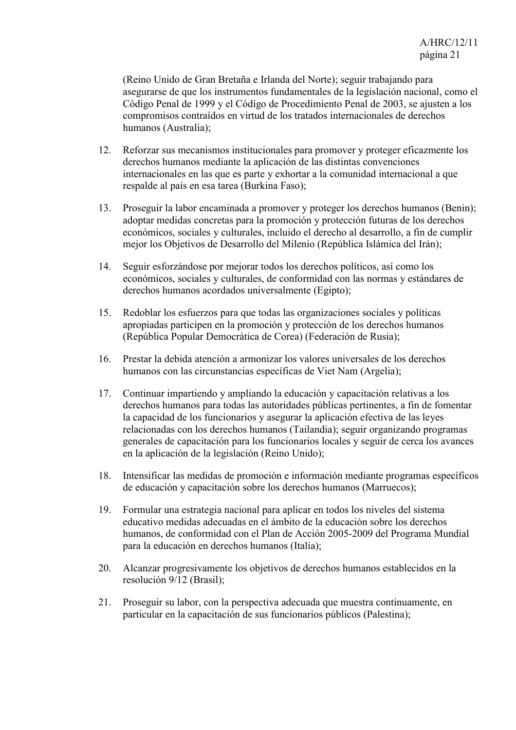(Reino Unido de Gran Bretaña e Irlanda del Norte); seguir trabajando para asegurarse de que los instrumentos fundamentales de la legislación nacional, como el Código Penal de 1999 y el Código de Procedimiento Penal de 2003, se ajusten a los compromisos contraídos en virtud de los tratados internacionales de derechos humanos (Australia);

- 12. Reforzar sus mecanismos institucionales para promover y proteger eficazmente los derechos humanos mediante la aplicación de las distintas convenciones internacionales en las que es parte y exhortar a la comunidad internacional a que respalde al país en esa tarea (Burkina Faso);
- 13. Proseguir la labor encaminada a promover y proteger los derechos humanos (Benin); adoptar medidas concretas para la promoción y protección futuras de los derechos económicos, sociales y culturales, incluido el derecho al desarrollo, a fin de cumplir mejor los Objetivos de Desarrollo del Milenio (República Islámica del Irán);
- 14. Seguir esforzándose por mejorar todos los derechos políticos, así como los económicos, sociales y culturales, de conformidad con las normas y estándares de derechos humanos acordados universalmente (Egipto);
- 15. Redoblar los esfuerzos para que todas las organizaciones sociales y políticas apropiadas participen en la promoción y protección de los derechos humanos (República Popular Democrática de Corea) (Federación de Rusia);
- 16. Prestar la debida atención a armonizar los valores universales de los derechos humanos con las circunstancias específicas de Viet Nam (Argelia);
- 17. Continuar impartiendo y ampliando la educación y capacitación relativas a los derechos humanos para todas las autoridades públicas pertinentes, a fin de fomentar la capacidad de los funcionarios y asegurar la aplicación efectiva de las leyes relacionadas con los derechos humanos (Tailandia); seguir organizando programas generales de capacitación para los funcionarios locales y seguir de cerca los avances en la aplicación de la legislación (Reino Unido);
- 18. Intensificar las medidas de promoción e información mediante programas específicos de educación y capacitación sobre los derechos humanos (Marruecos);
- 19. Formular una estrategia nacional para aplicar en todos los niveles del sistema educativo medidas adecuadas en el ámbito de la educación sobre los derechos humanos, de conformidad con el Plan de Acción 2005-2009 del Programa Mundial para la educación en derechos humanos (Italia);
- 20. Alcanzar progresivamente los objetivos de derechos humanos establecidos en la resolución 9/12 (Brasil);
- 21. Proseguir su labor, con la perspectiva adecuada que muestra continuamente, en particular en la capacitación de sus funcionarios públicos (Palestina);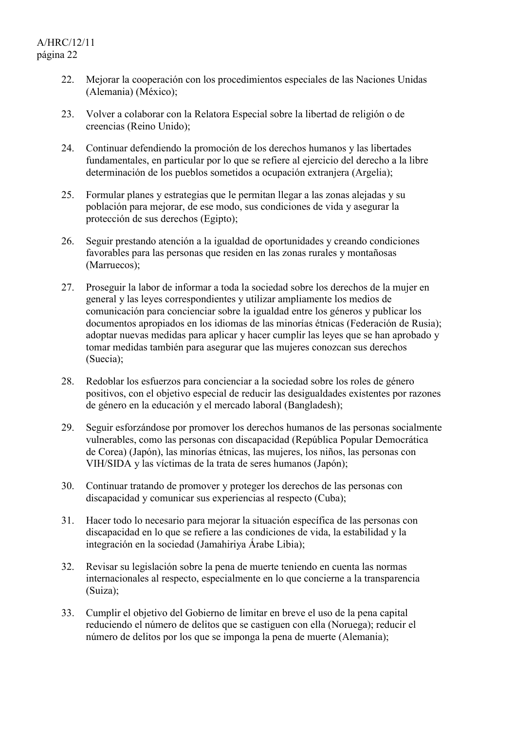- 22. Mejorar la cooperación con los procedimientos especiales de las Naciones Unidas (Alemania) (México);
- 23. Volver a colaborar con la Relatora Especial sobre la libertad de religión o de creencias (Reino Unido);
- 24. Continuar defendiendo la promoción de los derechos humanos y las libertades fundamentales, en particular por lo que se refiere al ejercicio del derecho a la libre determinación de los pueblos sometidos a ocupación extranjera (Argelia);
- 25. Formular planes y estrategias que le permitan llegar a las zonas alejadas y su población para mejorar, de ese modo, sus condiciones de vida y asegurar la protección de sus derechos (Egipto);
- 26. Seguir prestando atención a la igualdad de oportunidades y creando condiciones favorables para las personas que residen en las zonas rurales y montañosas (Marruecos);
- 27. Proseguir la labor de informar a toda la sociedad sobre los derechos de la mujer en general y las leyes correspondientes y utilizar ampliamente los medios de comunicación para concienciar sobre la igualdad entre los géneros y publicar los documentos apropiados en los idiomas de las minorías étnicas (Federación de Rusia); adoptar nuevas medidas para aplicar y hacer cumplir las leyes que se han aprobado y tomar medidas también para asegurar que las mujeres conozcan sus derechos (Suecia);
- 28. Redoblar los esfuerzos para concienciar a la sociedad sobre los roles de género positivos, con el objetivo especial de reducir las desigualdades existentes por razones de género en la educación y el mercado laboral (Bangladesh);
- 29. Seguir esforzándose por promover los derechos humanos de las personas socialmente vulnerables, como las personas con discapacidad (República Popular Democrática de Corea) (Japón), las minorías étnicas, las mujeres, los niños, las personas con VIH/SIDA y las víctimas de la trata de seres humanos (Japón);
- 30. Continuar tratando de promover y proteger los derechos de las personas con discapacidad y comunicar sus experiencias al respecto (Cuba);
- 31. Hacer todo lo necesario para mejorar la situación específica de las personas con discapacidad en lo que se refiere a las condiciones de vida, la estabilidad y la integración en la sociedad (Jamahiriya Árabe Libia);
- 32. Revisar su legislación sobre la pena de muerte teniendo en cuenta las normas internacionales al respecto, especialmente en lo que concierne a la transparencia (Suiza);
- 33. Cumplir el objetivo del Gobierno de limitar en breve el uso de la pena capital reduciendo el número de delitos que se castiguen con ella (Noruega); reducir el número de delitos por los que se imponga la pena de muerte (Alemania);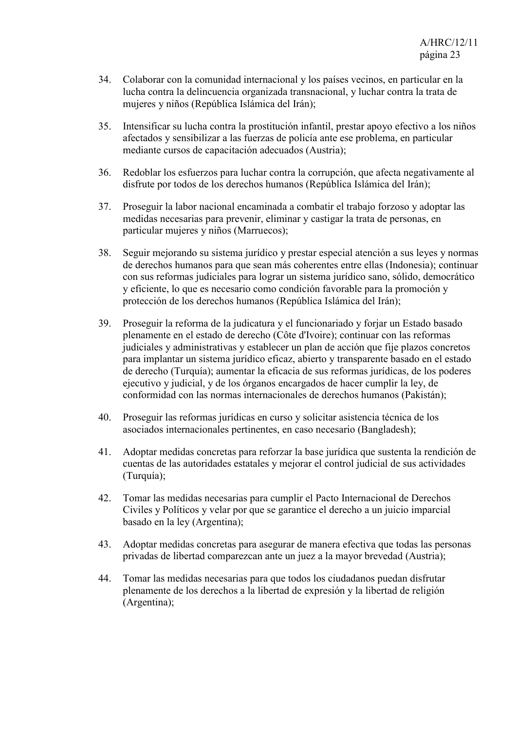- 34. Colaborar con la comunidad internacional y los países vecinos, en particular en la lucha contra la delincuencia organizada transnacional, y luchar contra la trata de mujeres y niños (República Islámica del Irán);
- 35. Intensificar su lucha contra la prostitución infantil, prestar apoyo efectivo a los niños afectados y sensibilizar a las fuerzas de policía ante ese problema, en particular mediante cursos de capacitación adecuados (Austria);
- 36. Redoblar los esfuerzos para luchar contra la corrupción, que afecta negativamente al disfrute por todos de los derechos humanos (República Islámica del Irán);
- 37. Proseguir la labor nacional encaminada a combatir el trabajo forzoso y adoptar las medidas necesarias para prevenir, eliminar y castigar la trata de personas, en particular mujeres y niños (Marruecos);
- 38. Seguir mejorando su sistema jurídico y prestar especial atención a sus leyes y normas de derechos humanos para que sean más coherentes entre ellas (Indonesia); continuar con sus reformas judiciales para lograr un sistema jurídico sano, sólido, democrático y eficiente, lo que es necesario como condición favorable para la promoción y protección de los derechos humanos (República Islámica del Irán);
- 39. Proseguir la reforma de la judicatura y el funcionariado y forjar un Estado basado plenamente en el estado de derecho (Côte d'Ivoire); continuar con las reformas judiciales y administrativas y establecer un plan de acción que fije plazos concretos para implantar un sistema jurídico eficaz, abierto y transparente basado en el estado de derecho (Turquía); aumentar la eficacia de sus reformas jurídicas, de los poderes ejecutivo y judicial, y de los órganos encargados de hacer cumplir la ley, de conformidad con las normas internacionales de derechos humanos (Pakistán);
- 40. Proseguir las reformas jurídicas en curso y solicitar asistencia técnica de los asociados internacionales pertinentes, en caso necesario (Bangladesh);
- 41. Adoptar medidas concretas para reforzar la base jurídica que sustenta la rendición de cuentas de las autoridades estatales y mejorar el control judicial de sus actividades (Turquía);
- 42. Tomar las medidas necesarias para cumplir el Pacto Internacional de Derechos Civiles y Políticos y velar por que se garantice el derecho a un juicio imparcial basado en la ley (Argentina);
- 43. Adoptar medidas concretas para asegurar de manera efectiva que todas las personas privadas de libertad comparezcan ante un juez a la mayor brevedad (Austria);
- 44. Tomar las medidas necesarias para que todos los ciudadanos puedan disfrutar plenamente de los derechos a la libertad de expresión y la libertad de religión (Argentina);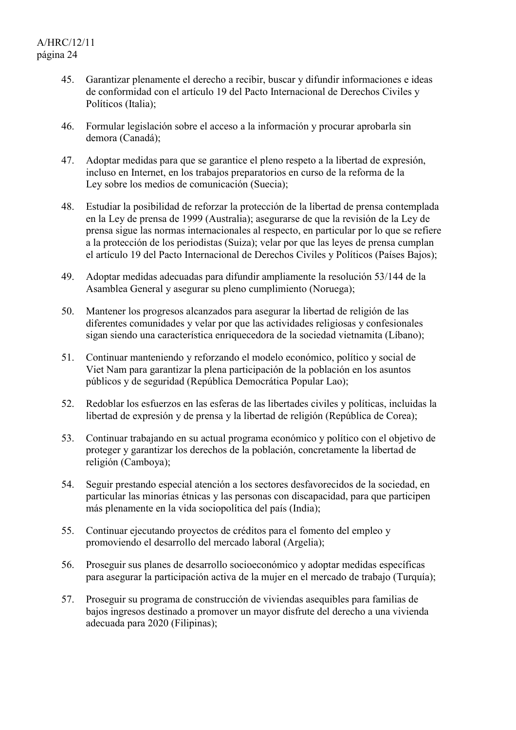- 45. Garantizar plenamente el derecho a recibir, buscar y difundir informaciones e ideas de conformidad con el artículo 19 del Pacto Internacional de Derechos Civiles y Políticos (Italia);
- 46. Formular legislación sobre el acceso a la información y procurar aprobarla sin demora (Canadá);
- 47. Adoptar medidas para que se garantice el pleno respeto a la libertad de expresión, incluso en Internet, en los trabajos preparatorios en curso de la reforma de la Ley sobre los medios de comunicación (Suecia);
- 48. Estudiar la posibilidad de reforzar la protección de la libertad de prensa contemplada en la Ley de prensa de 1999 (Australia); asegurarse de que la revisión de la Ley de prensa sigue las normas internacionales al respecto, en particular por lo que se refiere a la protección de los periodistas (Suiza); velar por que las leyes de prensa cumplan el artículo 19 del Pacto Internacional de Derechos Civiles y Políticos (Países Bajos);
- 49. Adoptar medidas adecuadas para difundir ampliamente la resolución 53/144 de la Asamblea General y asegurar su pleno cumplimiento (Noruega);
- 50. Mantener los progresos alcanzados para asegurar la libertad de religión de las diferentes comunidades y velar por que las actividades religiosas y confesionales sigan siendo una característica enriquecedora de la sociedad vietnamita (Líbano);
- 51. Continuar manteniendo y reforzando el modelo económico, político y social de Viet Nam para garantizar la plena participación de la población en los asuntos públicos y de seguridad (República Democrática Popular Lao);
- 52. Redoblar los esfuerzos en las esferas de las libertades civiles y políticas, incluidas la libertad de expresión y de prensa y la libertad de religión (República de Corea);
- 53. Continuar trabajando en su actual programa económico y político con el objetivo de proteger y garantizar los derechos de la población, concretamente la libertad de religión (Camboya);
- 54. Seguir prestando especial atención a los sectores desfavorecidos de la sociedad, en particular las minorías étnicas y las personas con discapacidad, para que participen más plenamente en la vida sociopolítica del país (India);
- 55. Continuar ejecutando proyectos de créditos para el fomento del empleo y promoviendo el desarrollo del mercado laboral (Argelia);
- 56. Proseguir sus planes de desarrollo socioeconómico y adoptar medidas específicas para asegurar la participación activa de la mujer en el mercado de trabajo (Turquía);
- 57. Proseguir su programa de construcción de viviendas asequibles para familias de bajos ingresos destinado a promover un mayor disfrute del derecho a una vivienda adecuada para 2020 (Filipinas);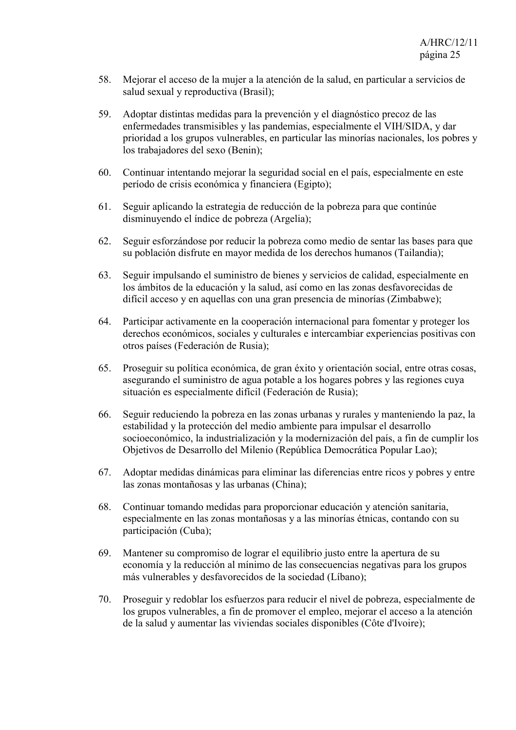- 58. Mejorar el acceso de la mujer a la atención de la salud, en particular a servicios de salud sexual y reproductiva (Brasil);
- 59. Adoptar distintas medidas para la prevención y el diagnóstico precoz de las enfermedades transmisibles y las pandemias, especialmente el VIH/SIDA, y dar prioridad a los grupos vulnerables, en particular las minorías nacionales, los pobres y los trabajadores del sexo (Benin);
- 60. Continuar intentando mejorar la seguridad social en el país, especialmente en este período de crisis económica y financiera (Egipto);
- 61. Seguir aplicando la estrategia de reducción de la pobreza para que continúe disminuyendo el índice de pobreza (Argelia);
- 62. Seguir esforzándose por reducir la pobreza como medio de sentar las bases para que su población disfrute en mayor medida de los derechos humanos (Tailandia);
- 63. Seguir impulsando el suministro de bienes y servicios de calidad, especialmente en los ámbitos de la educación y la salud, así como en las zonas desfavorecidas de difícil acceso y en aquellas con una gran presencia de minorías (Zimbabwe);
- 64. Participar activamente en la cooperación internacional para fomentar y proteger los derechos económicos, sociales y culturales e intercambiar experiencias positivas con otros países (Federación de Rusia);
- 65. Proseguir su política económica, de gran éxito y orientación social, entre otras cosas, asegurando el suministro de agua potable a los hogares pobres y las regiones cuya situación es especialmente difícil (Federación de Rusia);
- 66. Seguir reduciendo la pobreza en las zonas urbanas y rurales y manteniendo la paz, la estabilidad y la protección del medio ambiente para impulsar el desarrollo socioeconómico, la industrialización y la modernización del país, a fin de cumplir los Objetivos de Desarrollo del Milenio (República Democrática Popular Lao);
- 67. Adoptar medidas dinámicas para eliminar las diferencias entre ricos y pobres y entre las zonas montañosas y las urbanas (China);
- 68. Continuar tomando medidas para proporcionar educación y atención sanitaria, especialmente en las zonas montañosas y a las minorías étnicas, contando con su participación (Cuba);
- 69. Mantener su compromiso de lograr el equilibrio justo entre la apertura de su economía y la reducción al mínimo de las consecuencias negativas para los grupos más vulnerables y desfavorecidos de la sociedad (Líbano);
- 70. Proseguir y redoblar los esfuerzos para reducir el nivel de pobreza, especialmente de los grupos vulnerables, a fin de promover el empleo, mejorar el acceso a la atención de la salud y aumentar las viviendas sociales disponibles (Côte d'Ivoire);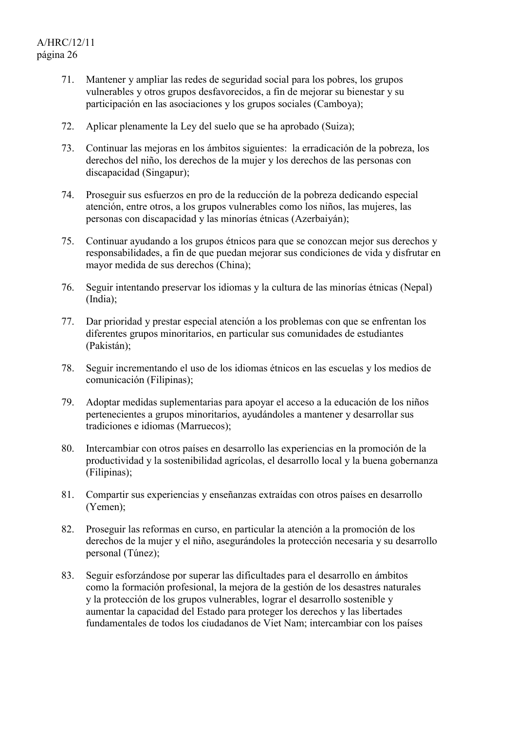- 71. Mantener y ampliar las redes de seguridad social para los pobres, los grupos vulnerables y otros grupos desfavorecidos, a fin de mejorar su bienestar y su participación en las asociaciones y los grupos sociales (Camboya);
- 72. Aplicar plenamente la Ley del suelo que se ha aprobado (Suiza);
- 73. Continuar las mejoras en los ámbitos siguientes: la erradicación de la pobreza, los derechos del niño, los derechos de la mujer y los derechos de las personas con discapacidad (Singapur);
- 74. Proseguir sus esfuerzos en pro de la reducción de la pobreza dedicando especial atención, entre otros, a los grupos vulnerables como los niños, las mujeres, las personas con discapacidad y las minorías étnicas (Azerbaiyán);
- 75. Continuar ayudando a los grupos étnicos para que se conozcan mejor sus derechos y responsabilidades, a fin de que puedan mejorar sus condiciones de vida y disfrutar en mayor medida de sus derechos (China);
- 76. Seguir intentando preservar los idiomas y la cultura de las minorías étnicas (Nepal) (India);
- 77. Dar prioridad y prestar especial atención a los problemas con que se enfrentan los diferentes grupos minoritarios, en particular sus comunidades de estudiantes (Pakistán);
- 78. Seguir incrementando el uso de los idiomas étnicos en las escuelas y los medios de comunicación (Filipinas);
- 79. Adoptar medidas suplementarias para apoyar el acceso a la educación de los niños pertenecientes a grupos minoritarios, ayudándoles a mantener y desarrollar sus tradiciones e idiomas (Marruecos);
- 80. Intercambiar con otros países en desarrollo las experiencias en la promoción de la productividad y la sostenibilidad agrícolas, el desarrollo local y la buena gobernanza (Filipinas);
- 81. Compartir sus experiencias y enseñanzas extraídas con otros países en desarrollo (Yemen);
- 82. Proseguir las reformas en curso, en particular la atención a la promoción de los derechos de la mujer y el niño, asegurándoles la protección necesaria y su desarrollo personal (Túnez);
- 83. Seguir esforzándose por superar las dificultades para el desarrollo en ámbitos como la formación profesional, la mejora de la gestión de los desastres naturales y la protección de los grupos vulnerables, lograr el desarrollo sostenible y aumentar la capacidad del Estado para proteger los derechos y las libertades fundamentales de todos los ciudadanos de Viet Nam; intercambiar con los países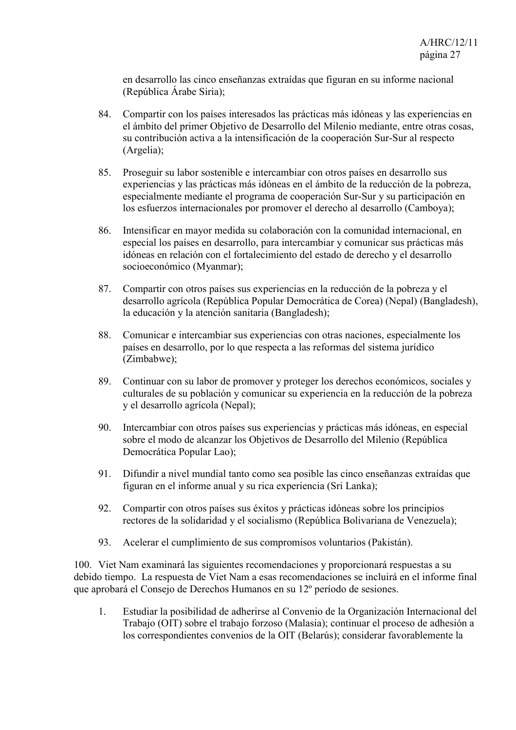en desarrollo las cinco enseñanzas extraídas que figuran en su informe nacional (República Árabe Siria);

- 84. Compartir con los países interesados las prácticas más idóneas y las experiencias en el ámbito del primer Objetivo de Desarrollo del Milenio mediante, entre otras cosas, su contribución activa a la intensificación de la cooperación Sur-Sur al respecto (Argelia);
- 85. Proseguir su labor sostenible e intercambiar con otros países en desarrollo sus experiencias y las prácticas más idóneas en el ámbito de la reducción de la pobreza, especialmente mediante el programa de cooperación Sur-Sur y su participación en los esfuerzos internacionales por promover el derecho al desarrollo (Camboya);
- 86. Intensificar en mayor medida su colaboración con la comunidad internacional, en especial los países en desarrollo, para intercambiar y comunicar sus prácticas más idóneas en relación con el fortalecimiento del estado de derecho y el desarrollo socioeconómico (Myanmar);
- 87. Compartir con otros países sus experiencias en la reducción de la pobreza y el desarrollo agrícola (República Popular Democrática de Corea) (Nepal) (Bangladesh), la educación y la atención sanitaria (Bangladesh);
- 88. Comunicar e intercambiar sus experiencias con otras naciones, especialmente los países en desarrollo, por lo que respecta a las reformas del sistema jurídico (Zimbabwe);
- 89. Continuar con su labor de promover y proteger los derechos económicos, sociales y culturales de su población y comunicar su experiencia en la reducción de la pobreza y el desarrollo agrícola (Nepal);
- 90. Intercambiar con otros países sus experiencias y prácticas más idóneas, en especial sobre el modo de alcanzar los Objetivos de Desarrollo del Milenio (República Democrática Popular Lao);
- 91. Difundir a nivel mundial tanto como sea posible las cinco enseñanzas extraídas que figuran en el informe anual y su rica experiencia (Sri Lanka);
- 92. Compartir con otros países sus éxitos y prácticas idóneas sobre los principios rectores de la solidaridad y el socialismo (República Bolivariana de Venezuela);
- 93. Acelerar el cumplimiento de sus compromisos voluntarios (Pakistán).

100. Viet Nam examinará las siguientes recomendaciones y proporcionará respuestas a su debido tiempo. La respuesta de Viet Nam a esas recomendaciones se incluirá en el informe final que aprobará el Consejo de Derechos Humanos en su 12º período de sesiones.

1. Estudiar la posibilidad de adherirse al Convenio de la Organización Internacional del Trabajo (OIT) sobre el trabajo forzoso (Malasia); continuar el proceso de adhesión a los correspondientes convenios de la OIT (Belarús); considerar favorablemente la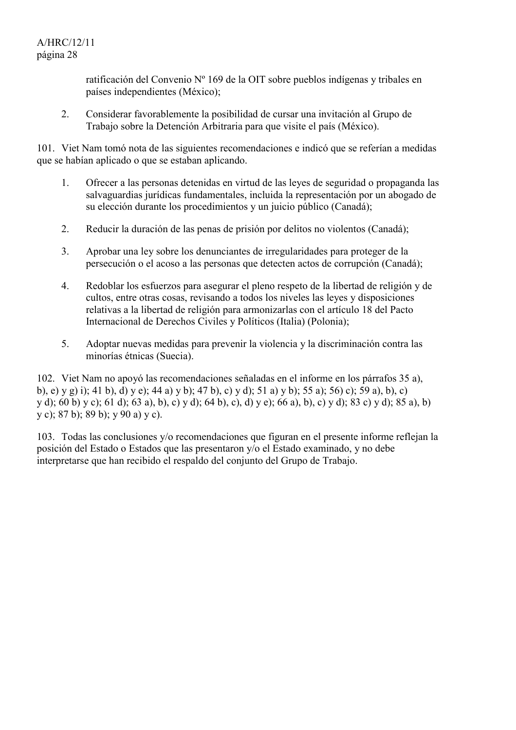ratificación del Convenio Nº 169 de la OIT sobre pueblos indígenas y tribales en países independientes (México);

2. Considerar favorablemente la posibilidad de cursar una invitación al Grupo de Trabajo sobre la Detención Arbitraria para que visite el país (México).

101. Viet Nam tomó nota de las siguientes recomendaciones e indicó que se referían a medidas que se habían aplicado o que se estaban aplicando.

- 1. Ofrecer a las personas detenidas en virtud de las leyes de seguridad o propaganda las salvaguardias jurídicas fundamentales, incluida la representación por un abogado de su elección durante los procedimientos y un juicio público (Canadá);
- 2. Reducir la duración de las penas de prisión por delitos no violentos (Canadá);
- 3. Aprobar una ley sobre los denunciantes de irregularidades para proteger de la persecución o el acoso a las personas que detecten actos de corrupción (Canadá);
- 4. Redoblar los esfuerzos para asegurar el pleno respeto de la libertad de religión y de cultos, entre otras cosas, revisando a todos los niveles las leyes y disposiciones relativas a la libertad de religión para armonizarlas con el artículo 18 del Pacto Internacional de Derechos Civiles y Políticos (Italia) (Polonia);
- 5. Adoptar nuevas medidas para prevenir la violencia y la discriminación contra las minorías étnicas (Suecia).

102. Viet Nam no apoyó las recomendaciones señaladas en el informe en los párrafos 35 a), b), e) y g) i); 41 b), d) y e); 44 a) y b); 47 b), c) y d); 51 a) y b); 55 a); 56) c); 59 a), b), c) y d); 60 b) y c); 61 d); 63 a), b), c) y d); 64 b), c), d) y e); 66 a), b), c) y d); 83 c) y d); 85 a), b) y c); 87 b); 89 b); y 90 a) y c).

103. Todas las conclusiones y/o recomendaciones que figuran en el presente informe reflejan la posición del Estado o Estados que las presentaron y/o el Estado examinado, y no debe interpretarse que han recibido el respaldo del conjunto del Grupo de Trabajo.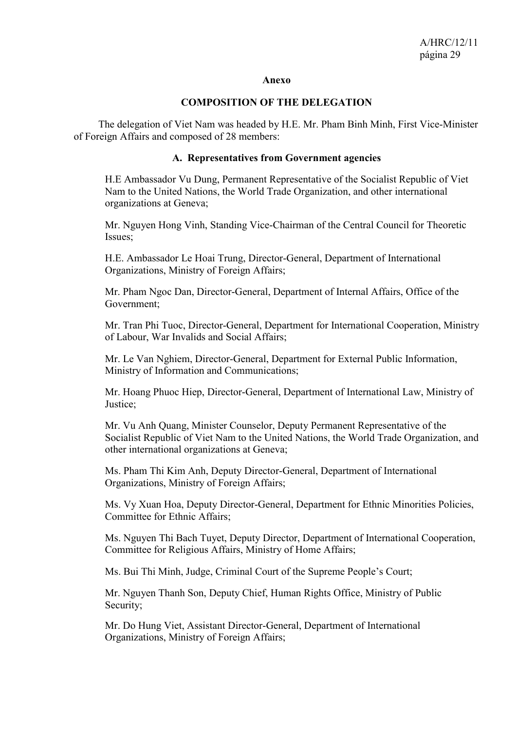#### **Anexo**

#### **COMPOSITION OF THE DELEGATION**

 The delegation of Viet Nam was headed by H.E. Mr. Pham Binh Minh, First Vice-Minister of Foreign Affairs and composed of 28 members:

#### **A. Representatives from Government agencies**

H.E Ambassador Vu Dung, Permanent Representative of the Socialist Republic of Viet Nam to the United Nations, the World Trade Organization, and other international organizations at Geneva;

Mr. Nguyen Hong Vinh, Standing Vice-Chairman of the Central Council for Theoretic Issues;

H.E. Ambassador Le Hoai Trung, Director-General, Department of International Organizations, Ministry of Foreign Affairs;

Mr. Pham Ngoc Dan, Director-General, Department of Internal Affairs, Office of the Government;

Mr. Tran Phi Tuoc, Director-General, Department for International Cooperation, Ministry of Labour, War Invalids and Social Affairs;

Mr. Le Van Nghiem, Director-General, Department for External Public Information, Ministry of Information and Communications;

Mr. Hoang Phuoc Hiep, Director-General, Department of International Law, Ministry of Justice;

Mr. Vu Anh Quang, Minister Counselor, Deputy Permanent Representative of the Socialist Republic of Viet Nam to the United Nations, the World Trade Organization, and other international organizations at Geneva;

Ms. Pham Thi Kim Anh, Deputy Director-General, Department of International Organizations, Ministry of Foreign Affairs;

Ms. Vy Xuan Hoa, Deputy Director-General, Department for Ethnic Minorities Policies, Committee for Ethnic Affairs;

Ms. Nguyen Thi Bach Tuyet, Deputy Director, Department of International Cooperation, Committee for Religious Affairs, Ministry of Home Affairs;

Ms. Bui Thi Minh, Judge, Criminal Court of the Supreme People's Court;

Mr. Nguyen Thanh Son, Deputy Chief, Human Rights Office, Ministry of Public Security;

Mr. Do Hung Viet, Assistant Director-General, Department of International Organizations, Ministry of Foreign Affairs;